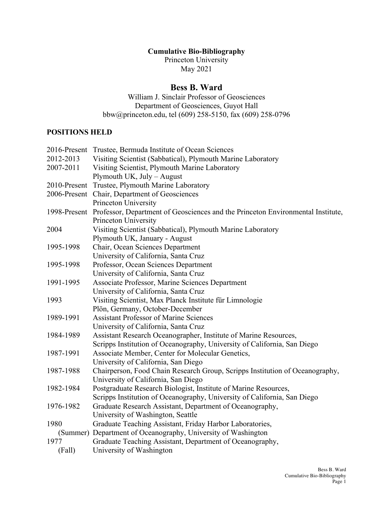## **Cumulative Bio-Bibliography**

Princeton University May 2021

# **Bess B. Ward**

William J. Sinclair Professor of Geosciences Department of Geosciences, Guyot Hall bbw@princeton.edu, tel (609) 258-5150, fax (609) 258-0796

# **POSITIONS HELD**

|           | 2016-Present Trustee, Bermuda Institute of Ocean Sciences                                    |
|-----------|----------------------------------------------------------------------------------------------|
| 2012-2013 | Visiting Scientist (Sabbatical), Plymouth Marine Laboratory                                  |
| 2007-2011 | Visiting Scientist, Plymouth Marine Laboratory                                               |
|           | Plymouth UK, July - August                                                                   |
|           | 2010-Present Trustee, Plymouth Marine Laboratory                                             |
|           | 2006-Present Chair, Department of Geosciences                                                |
|           | Princeton University                                                                         |
|           | 1998-Present Professor, Department of Geosciences and the Princeton Environmental Institute, |
|           | Princeton University                                                                         |
| 2004      | Visiting Scientist (Sabbatical), Plymouth Marine Laboratory                                  |
|           | Plymouth UK, January - August                                                                |
| 1995-1998 | Chair, Ocean Sciences Department                                                             |
|           | University of California, Santa Cruz                                                         |
| 1995-1998 | Professor, Ocean Sciences Department                                                         |
|           | University of California, Santa Cruz                                                         |
| 1991-1995 | Associate Professor, Marine Sciences Department                                              |
|           | University of California, Santa Cruz                                                         |
| 1993      | Visiting Scientist, Max Planck Institute für Limnologie                                      |
|           | Plön, Germany, October-December                                                              |
| 1989-1991 | <b>Assistant Professor of Marine Sciences</b>                                                |
|           | University of California, Santa Cruz                                                         |
| 1984-1989 | Assistant Research Oceanographer, Institute of Marine Resources,                             |
|           | Scripps Institution of Oceanography, University of California, San Diego                     |
| 1987-1991 | Associate Member, Center for Molecular Genetics,                                             |
|           | University of California, San Diego                                                          |
| 1987-1988 | Chairperson, Food Chain Research Group, Scripps Institution of Oceanography,                 |
|           | University of California, San Diego                                                          |
| 1982-1984 | Postgraduate Research Biologist, Institute of Marine Resources,                              |
|           | Scripps Institution of Oceanography, University of California, San Diego                     |
| 1976-1982 | Graduate Research Assistant, Department of Oceanography,                                     |
|           | University of Washington, Seattle                                                            |
| 1980      | Graduate Teaching Assistant, Friday Harbor Laboratories,                                     |
|           | (Summer) Department of Oceanography, University of Washington                                |
| 1977      | Graduate Teaching Assistant, Department of Oceanography,                                     |
| (Fall)    | University of Washington                                                                     |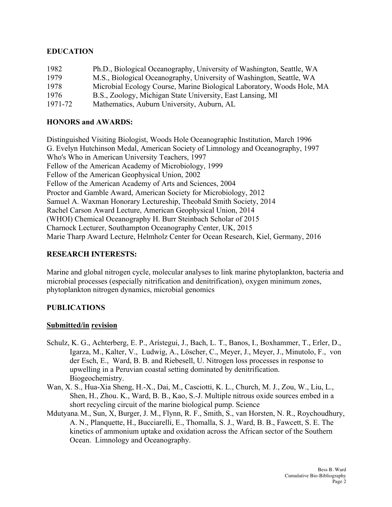## **EDUCATION**

| 1982    | Ph.D., Biological Oceanography, University of Washington, Seattle, WA  |
|---------|------------------------------------------------------------------------|
| 1979    | M.S., Biological Oceanography, University of Washington, Seattle, WA   |
| 1978    | Microbial Ecology Course, Marine Biological Laboratory, Woods Hole, MA |
| 1976    | B.S., Zoology, Michigan State University, East Lansing, MI             |
| 1971-72 | Mathematics, Auburn University, Auburn, AL                             |

## **HONORS and AWARDS:**

(WHOI) Chemical Oceanography H. Burr Steinbach Scholar of 2015 Distinguished Visiting Biologist, Woods Hole Oceanographic Institution, March 1996 G. Evelyn Hutchinson Medal, American Society of Limnology and Oceanography, 1997 Who's Who in American University Teachers, 1997 Fellow of the American Academy of Microbiology, 1999 Fellow of the American Geophysical Union, 2002 Fellow of the American Academy of Arts and Sciences, 2004 Proctor and Gamble Award, American Society for Microbiology, 2012 Samuel A. Waxman Honorary Lectureship, Theobald Smith Society, 2014 Rachel Carson Award Lecture, American Geophysical Union, 2014 Charnock Lecturer, Southampton Oceanography Center, UK, 2015 Marie Tharp Award Lecture, Helmholz Center for Ocean Research, Kiel, Germany, 2016

### **RESEARCH INTERESTS:**

Marine and global nitrogen cycle, molecular analyses to link marine phytoplankton, bacteria and microbial processes (especially nitrification and denitrification), oxygen minimum zones, phytoplankton nitrogen dynamics, microbial genomics

### **PUBLICATIONS**

## **Submitted/in revision**

- Schulz, K. G., Achterberg, E. P., Arístegui, J., Bach, L. T., Banos, I., Boxhammer, T., Erler, D., Igarza, M., Kalter, V., Ludwig, A., Löscher, C., Meyer, J., Meyer, J., Minutolo, F., von der Esch, E., Ward, B. B. and Riebesell, U. Nitrogen loss processes in response to upwelling in a Peruvian coastal setting dominated by denitrification. Biogeochemistry.
- Wan, X. S., Hua-Xia Sheng, H.-X., Dai, M., Casciotti, K. L., Church, M. J., Zou, W., Liu, L., Shen, H., Zhou. K., Ward, B. B., Kao, S.-J. Multiple nitrous oxide sources embed in a short recycling circuit of the marine biological pump. Science
- Mdutyana, M., Sun, X, Burger, J. M., Flynn, R. F., Smith, S., van Horsten, N. R., Roychoudhury, A. N., Planquette, H., Bucciarelli, E., Thomalla, S. J., Ward, B. B., Fawcett, S. E. The kinetics of ammonium uptake and oxidation across the African sector of the Southern Ocean. Limnology and Oceanography.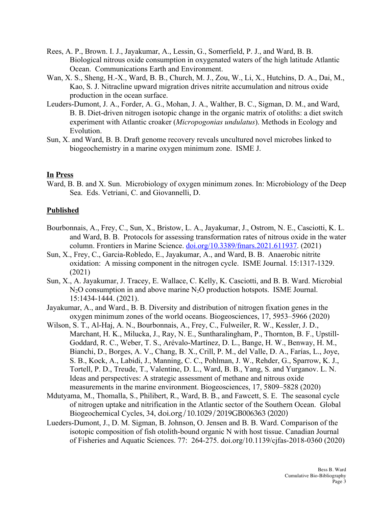- Rees, A. P., Brown. I. J., Jayakumar, A., Lessin, G., Somerfield, P. J., and Ward, B. B. Biological nitrous oxide consumption in oxygenated waters of the high latitude Atlantic Ocean. Communications Earth and Environment.
- Wan, X. S., Sheng, H.-X., Ward, B. B., Church, M. J., Zou, W., Li, X., Hutchins, D. A., Dai, M., Kao, S. J. Nitracline upward migration drives nitrite accumulation and nitrous oxide production in the ocean surface.
- Leuders-Dumont, J. A., Forder, A. G., Mohan, J. A., Walther, B. C., Sigman, D. M., and Ward, B. B. Diet-driven nitrogen isotopic change in the organic matrix of otoliths: a diet switch experiment with Atlantic croaker (*Micropogonias undulatus*). Methods in Ecology and Evolution.
- Sun, X. and Ward, B. B. Draft genome recovery reveals uncultured novel microbes linked to biogeochemistry in a marine oxygen minimum zone. ISME J.

#### **In Press**

Ward, B. B. and X. Sun. Microbiology of oxygen minimum zones. In: Microbiology of the Deep Sea. Eds. Vetriani, C. and Giovannelli, D.

#### **Published**

- Bourbonnais, A., Frey, C., Sun, X., Bristow, L. A., Jayakumar, J., Ostrom, N. E., Casciotti, K. L. and Ward, B. B. Protocols for assessing transformation rates of nitrous oxide in the water column. Frontiers in Marine Science. doi.org/10.3389/fmars.2021.611937. (2021)
- Sun, X., Frey, C., Garcia-Robledo, E., Jayakumar, A., and Ward, B. B. Anaerobic nitrite oxidation: A missing component in the nitrogen cycle. ISME Journal. 15:1317-1329. (2021)
- Sun, X., A. Jayakumar, J. Tracey, E. Wallace, C. Kelly, K. Casciotti, and B. B. Ward. Microbial N<sub>2</sub>O consumption in and above marine N<sub>2</sub>O production hotspots. ISME Journal. 15:1434-1444. (2021).
- Jayakumar, A., and Ward., B. B. Diversity and distribution of nitrogen fixation genes in the oxygen minimum zones of the world oceans. Biogeosciences, 17, 5953–5966 (2020)
- Wilson, S. T., Al-Haj, A. N., Bourbonnais, A., Frey, C., Fulweiler, R. W., Kessler, J. D., Marchant, H. K., Milucka, J., Ray, N. E., Suntharalingham, P., Thornton, B. F., Upstill-Goddard, R. C., Weber, T. S., Arévalo-Martínez, D. L., Bange, H. W., Benway, H. M., Bianchi, D., Borges, A. V., Chang, B. X., Crill, P. M., del Valle, D. A., Farías, L., Joye, S. B., Kock, A., Labidi, J., Manning, C. C., Pohlman, J. W., Rehder, G., Sparrow, K. J., Tortell, P. D., Treude, T., Valentine, D. L., Ward, B. B., Yang, S. and Yurganov. L. N. Ideas and perspectives: A strategic assessment of methane and nitrous oxide measurements in the marine environment. Biogeosciences, 17, 5809–5828 (2020)
- Mdutyama, M., Thomalla, S., Philibert, R., Ward, B. B., and Fawcett, S. E. The seasonal cycle of nitrogen uptake and nitrification in the Atlantic sector of the Southern Ocean. Global Biogeochemical Cycles, 34, doi.org/10.1029/2019GB006363 (2020)
- Lueders-Dumont, J., D. M. Sigman, B. Johnson, O. Jensen and B. B. Ward. Comparison of the isotopic composition of fish otolith-bound organic N with host tissue. Canadian Journal of Fisheries and Aquatic Sciences. 77: 264-275. doi.org/10.1139/cjfas-2018-0360 (2020)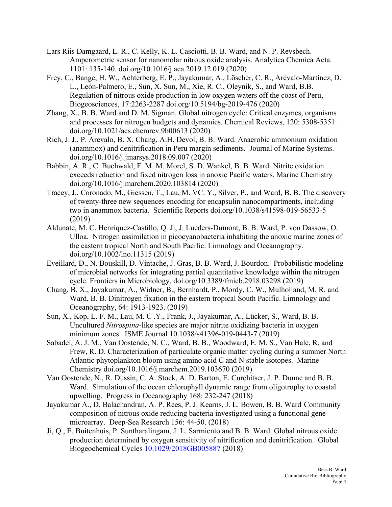- Lars Riis Damgaard, L. R., C. Kelly, K. L. Casciotti, B. B. Ward, and N. P. Revsbech. Amperometric sensor for nanomolar nitrous oxide analysis. Analytica Chemica Acta. 1101: 135-140. doi.org/10.1016/j.aca.2019.12.019 (2020)
- Frey, C., Bange, H. W., Achterberg, E. P., Jayakumar, A., Löscher, C. R., Arévalo-Martínez, D. L., León-Palmero, E., Sun, X. Sun, M., Xie, R. C., Oleynik, S., and Ward, B.B. Regulation of nitrous oxide production in low oxygen waters off the coast of Peru, Biogeosciences, 17:2263-2287 doi.org/10.5194/bg-2019-476 (2020)
- Zhang, X., B. B. Ward and D. M. Sigman. Global nitrogen cycle: Critical enzymes, organisms and processes for nitrogen budgets and dynamics. Chemical Reviews, 120: 5308-5351. doi.org/10.1021/acs.chemrev.9b00613 (2020)
- Rich, J. J., P. Arevalo, B. X. Chang, A.H. Devol, B. B. Ward. Anaerobic ammonium oxidation (anammox) and denitrification in Peru margin sediments. Journal of Marine Systems. doi.org/10.1016/j.jmarsys.2018.09.007 (2020)
- Babbin, A. R., C. Buchwald, F. M. M. Morel, S. D. Wankel, B. B. Ward. Nitrite oxidation exceeds reduction and fixed nitrogen loss in anoxic Pacific waters. Marine Chemistry doi.org/10.1016/j.marchem.2020.103814 (2020)
- Tracey, J., Coronado, M., Giessen, T., Lau, M. VC. Y., Silver, P., and Ward, B. B. The discovery of twenty-three new sequences encoding for encapsulin nanocompartments, including two in anammox bacteria. Scientific Reports doi.org/10.1038/s41598-019-56533-5 (2019)
- Aldunate, M. C. Henríquez-Castillo, Q. Ji, J. Lueders-Dumont, B. B. Ward, P. von Dassow, O. Ulloa. Nitrogen assimilation in picocyanobacteria inhabiting the anoxic marine zones of the eastern tropical North and South Pacific. Limnology and Oceanography. doi.org/10.1002/lno.11315 (2019)
- Eveillard, D., N. Bouskill, D. Vintache, J. Gras, B. B. Ward, J. Bourdon. Probabilistic modeling of microbial networks for integrating partial quantitative knowledge within the nitrogen cycle. Frontiers in Microbiology, doi.org/10.3389/fmicb.2918.03298 (2019)
- Chang, B. X., Jayakumar, A., Widner, B., Bernhardt, P., Mordy, C. W., Mulholland, M. R. and Ward, B. B. Dinitrogen fixation in the eastern tropical South Pacific. Limnology and Oceanography, 64: 1913-1923. (2019)
- Sun, X., Kop, L. F. M., Lau, M. C .Y., Frank, J., Jayakumar, A., Lücker, S., Ward, B. B. Uncultured *Nitrospina*-like species are major nitrite oxidizing bacteria in oxygen minimum zones. ISME Journal 10.1038/s41396-019-0443-7 (2019)
- Sabadel, A. J. M., Van Oostende, N. C., Ward, B. B., Woodward, E. M. S., Van Hale, R. and Frew, R. D. Characterization of particulate organic matter cycling during a summer North Atlantic phytoplankton bloom using amino acid C and N stable isotopes. Marine Chemistry doi.org/10.1016/j.marchem.2019.103670 (2019)
- Van Oostende, N., R. Dussin, C. A. Stock, A. D. Barton, E. Curchitser, J. P. Dunne and B. B. Ward. Simulation of the ocean chlorophyll dynamic range from oligotrophy to coastal upwelling. Progress in Oceanography 168: 232-247 (2018)
- Jayakumar A., D. Balachandran, A. P. Rees, P. J. Kearns, J. L. Bowen, B. B. Ward. Community composition of nitrous oxide reducing bacteria investigated using a functional gene microarray. Deep-Sea Research 156: 44-50. (2018)
- Ji, Q., E. Buitenhuis, P. Suntharalingam, J. L. Sarmiento and B. B. Ward. Global nitrous oxide production determined by oxygen sensitivity of nitrification and denitrification. Global Biogeochemical Cycles 10.1029/2018GB005887 (2018)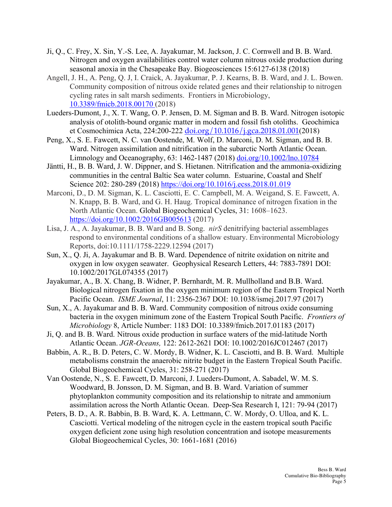- Ji, Q., C. Frey, X. Sin, Y.-S. Lee, A. Jayakumar, M. Jackson, J. C. Cornwell and B. B. Ward. Nitrogen and oxygen availabilities control water column nitrous oxide production during seasonal anoxia in the Chesapeake Bay. Biogeosciences 15:6127-6138 (2018)
- Angell, J. H., A. Peng, Q. J, I. Craick, A. Jayakumar, P. J. Kearns, B. B. Ward, and J. L. Bowen. Community composition of nitrous oxide related genes and their relationship to nitrogen cycling rates in salt marsh sediments. Frontiers in Microbiology, 10.3389/fmicb.2018.00170 (2018)
- Lueders-Dumont, J., X. T. Wang, O. P. Jensen, D. M. Sigman and B. B. Ward. Nitrogen isotopic analysis of otolith-bound organic matter in modern and fossil fish otoliths. Geochimica et Cosmochimica Acta, 224:200-222 doi.org/10.1016/j.gca.2018.01.001(2018)
- Peng, X., S. E. Fawcett, N. C. van Oostende, M. Wolf, D. Marconi, D. M. Sigman, and B. B. Ward. Nitrogen assimilation and nitrification in the subarctic North Atlantic Ocean. Limnology and Oceanography, 63: 1462-1487 (2018) doi.org/10.1002/lno.10784
- Jäntti, H., B. B. Ward, J. W. Dippner, and S. Hietanen. Nitrification and the ammonia-oxidizing communities in the central Baltic Sea water column. Estuarine, Coastal and Shelf Science 202: 280-289 (2018) https://doi.org/10.1016/j.ecss.2018.01.019
- Marconi, D., D. M. Sigman, K. L. Casciotti, E. C. Campbell, M. A. Weigand, S. E. Fawcett, A. N. Knapp, B. B. Ward, and G. H. Haug. Tropical dominance of nitrogen fixation in the North Atlantic Ocean. Global Biogeochemical Cycles, 31: 1608–1623. https://doi.org/10.1002/2016GB005613 (2017)
- Lisa, J. A., A. Jayakumar, B. B. Ward and B. Song. *nirS* denitrifying bacterial assemblages respond to environmental conditions of a shallow estuary. Environmental Microbiology Reports, doi:10.1111/1758-2229.12594 (2017)
- Sun, X., Q. Ji, A. Jayakumar and B. B. Ward. Dependence of nitrite oxidation on nitrite and oxygen in low oxygen seawater. Geophysical Research Letters, 44: 7883-7891 DOI: 10.1002/2017GL074355 (2017)
- Jayakumar, A., B. X. Chang, B. Widner, P. Bernhardt, M. R. Mullholland and B.B. Ward. Biological nitrogen fixation in the oxygen minimum region of the Eastern Tropical North Pacific Ocean. *ISME Journal*, 11: 2356-2367 DOI: 10.1038/ismej.2017.97 (2017)
- Sun, X., A. Jayakumar and B. B. Ward. Community composition of nitrous oxide consuming bacteria in the oxygen minimum zone of the Eastern Tropical South Pacific. *Frontiers of Microbiology* 8, Article Number: 1183 DOI: 10.3389/fmicb.2017.01183 (2017)
- Ji, Q. and B. B. Ward. Nitrous oxide production in surface waters of the mid-latitude North Atlantic Ocean. *JGR-Oceans,* 122: 2612-2621 DOI: 10.1002/2016JC012467 (2017)
- Babbin, A. R., B. D. Peters, C. W. Mordy, B. Widner, K. L. Casciotti, and B. B. Ward. Multiple metabolisms constrain the anaerobic nitrite budget in the Eastern Tropical South Pacific. Global Biogeochemical Cycles, 31: 258-271 (2017)
- Van Oostende, N., S. E. Fawcett, D. Marconi, J. Lueders-Dumont, A. Sabadel, W. M. S. Woodward, B. Jonsson, D. M. Sigman, and B. B. Ward. Variation of summer phytoplankton community composition and its relationship to nitrate and ammonium assimilation across the North Atlantic Ocean. Deep-Sea Research I, 121: 79-94 (2017)
- Peters, B. D., A. R. Babbin, B. B. Ward, K. A. Lettmann, C. W. Mordy, O. Ulloa, and K. L. Casciotti. Vertical modeling of the nitrogen cycle in the eastern tropical south Pacific oxygen deficient zone using high resolution concentration and isotope measurements Global Biogeochemical Cycles, 30: 1661-1681 (2016)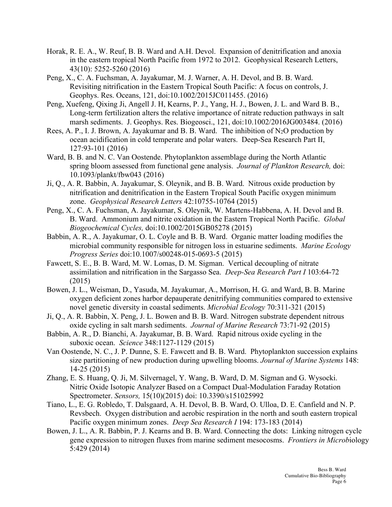- Horak, R. E. A., W. Reuf, B. B. Ward and A.H. Devol. Expansion of denitrification and anoxia in the eastern tropical North Pacific from 1972 to 2012. Geophysical Research Letters, 43(10): 5252-5260 (2016)
- Peng, X., C. A. Fuchsman, A. Jayakumar, M. J. Warner, A. H. Devol, and B. B. Ward. Revisiting nitrification in the Eastern Tropical South Pacific: A focus on controls, J. Geophys. Res. Oceans, 121, doi:10.1002/2015JC011455. (2016)
- Peng, Xuefeng, Qixing Ji, Angell J. H, Kearns, P. J., Yang, H. J., Bowen, J. L. and Ward B. B., Long-term fertilization alters the relative importance of nitrate reduction pathways in salt marsh sediments. J. Geophys. Res. Biogeosci., 121, doi:10.1002/2016JG003484. (2016)
- Rees, A. P., I. J. Brown, A. Jayakumar and B. B. Ward. The inhibition of  $N_2O$  production by ocean acidification in cold temperate and polar waters. Deep-Sea Research Part II, 127:93-101 (2016)
- Ward, B. B. and N. C. Van Oostende. Phytoplankton assemblage during the North Atlantic spring bloom assessed from functional gene analysis. *Journal of Plankton Research,* doi: 10.1093/plankt/fbw043 (2016)
- Ji, Q., A. R. Babbin, A. Jayakumar, S. Oleynik, and B. B. Ward. Nitrous oxide production by nitrification and denitrification in the Eastern Tropical South Pacific oxygen minimum zone. *Geophysical Research Letters* 42:10755-10764 (2015)
- Peng, X., C. A. Fuchsman, A. Jayakumar, S. Oleynik, W. Martens-Habbena, A. H. Devol and B. B. Ward. Ammonium and nitrite oxidation in the Eastern Tropical North Pacific. *Global Biogeochemical Cycles,* doi:10.1002/2015GB05278 (2015)
- Babbin, A. R., A. Jayakumar, O. L. Coyle and B. B. Ward. Organic matter loading modifies the microbial community responsible for nitrogen loss in estuarine sediments. *Marine Ecology Progress Series* doi:10.1007/s00248-015-0693-5 (2015)
- Fawcett, S. E., B. B. Ward, M. W. Lomas, D. M. Sigman. Vertical decoupling of nitrate assimilation and nitrification in the Sargasso Sea. *Deep-Sea Research Part I* 103:64-72 (2015)
- Bowen, J. L., Weisman, D., Yasuda, M. Jayakumar, A., Morrison, H. G. and Ward, B. B. Marine oxygen deficient zones harbor depauperate denitrifying communities compared to extensive novel genetic diversity in coastal sediments. *Microbial Ecology* 70:311-321 (2015)
- Ji, Q., A. R. Babbin, X. Peng, J. L. Bowen and B. B. Ward. Nitrogen substrate dependent nitrous oxide cycling in salt marsh sediments. *Journal of Marine Research* 73:71-92 (2015)
- Babbin, A. R., D. Bianchi, A. Jayakumar, B. B. Ward. Rapid nitrous oxide cycling in the suboxic ocean. *Science* 348:1127-1129 (2015)
- Van Oostende, N. C., J. P. Dunne, S. E. Fawcett and B. B. Ward. Phytoplankton succession explains size partitioning of new production during upwelling blooms. *Journal of Marine Systems* 148: 14-25 (2015)
- Zhang, E. S. Huang, Q. Ji, M. Silvernagel, Y. Wang, B. Ward, D. M. Sigman and G. Wysocki. Nitric Oxide Isotopic Analyzer Based on a Compact Dual-Modulation Faraday Rotation Spectrometer. *Sensors,* 15(10)(2015) doi: 10.3390/s151025992
- Tiano, L., E. G. Robledo, T. Dalsgaard, A. H. Devol, B. B. Ward, O. Ulloa, D. E. Canfield and N. P. Revsbech. Oxygen distribution and aerobic respiration in the north and south eastern tropical Pacific oxygen minimum zones. *Deep Sea Research I* 194: 173-183 (2014)
- Bowen, J. L., A. R. Babbin, P. J. Kearns and B. B. Ward. Connecting the dots: Linking nitrogen cycle gene expression to nitrogen fluxes from marine sediment mesocosms. *Frontiers in Microb*iology 5:429 (2014)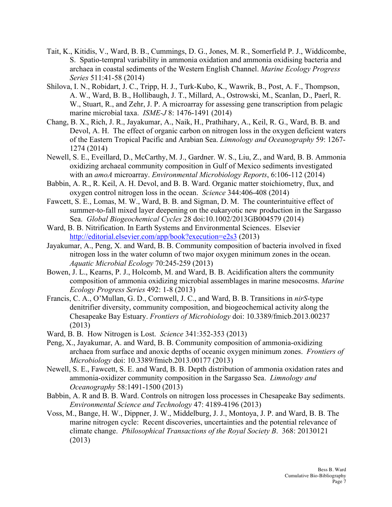- Tait, K., Kitidis, V., Ward, B. B., Cummings, D. G., Jones, M. R., Somerfield P. J., Widdicombe, S. Spatio-tempral variability in ammonia oxidation and ammonia oxidising bacteria and archaea in coastal sediments of the Western English Channel. *Marine Ecology Progress Series* 511:41-58 (2014)
- Shilova, I. N., Robidart, J. C., Tripp, H. J., Turk-Kubo, K., Wawrik, B., Post, A. F., Thompson, A. W., Ward, B. B., Hollibaugh, J. T., Millard, A., Ostrowski, M., Scanlan, D., Paerl, R. W., Stuart, R., and Zehr, J. P. A microarray for assessing gene transcription from pelagic marine microbial taxa. *ISME-J* 8: 1476-1491 (2014)
- Chang, B. X., Rich, J. R., Jayakumar, A., Naik, H., Prathihary, A., Keil, R. G., Ward, B. B. and Devol, A. H. The effect of organic carbon on nitrogen loss in the oxygen deficient waters of the Eastern Tropical Pacific and Arabian Sea. *Limnology and Oceanography* 59: 1267- 1274 (2014)
- Newell, S. E., Eveillard, D., McCarthy, M. J., Gardner. W. S., Liu, Z., and Ward, B. B. Ammonia oxidizing archaeal community composition in Gulf of Mexico sediments investigated with an *amoA* microarray. *Environmental Microbiology Reports*, 6:106-112 (2014)
- Babbin, A. R., R. Keil, A. H. Devol, and B. B. Ward. Organic matter stoichiometry, flux, and oxygen control nitrogen loss in the ocean. *Science* 344:406-408 (2014)
- Fawcett, S. E., Lomas, M. W., Ward, B. B. and Sigman, D. M. The counterintuitive effect of summer-to-fall mixed layer deepening on the eukaryotic new production in the Sargasso Sea. *Global Biogeochemical Cycles* 28 doi:10.1002/2013GB004579 (2014)
- Ward, B. B. Nitrification. In Earth Systems and Environmental Sciences. Elsevier http://editorial.elsevier.com/app/book?execution=e2s3 (2013)
- Jayakumar, A., Peng, X. and Ward, B. B. Community composition of bacteria involved in fixed nitrogen loss in the water column of two major oxygen minimum zones in the ocean. *Aquatic Microbial Ecology* 70:245-259 (2013)
- Bowen, J. L., Kearns, P. J., Holcomb, M. and Ward, B. B. Acidification alters the community composition of ammonia oxidizing microbial assemblages in marine mesocosms. *Marine Ecology Progress Series* 492: 1-8 (2013)
- Francis, C. A., O'Mullan, G. D., Cornwell, J. C., and Ward, B. B. Transitions in *nirS*-type denitrifier diversity, community composition, and biogeochemical activity along the Chesapeake Bay Estuary. *Frontiers of Microbiology* doi: 10.3389/fmicb.2013.00237 (2013)
- Ward, B. B. How Nitrogen is Lost. *Science* 341:352-353 (2013)
- Peng, X., Jayakumar, A. and Ward, B. B. Community composition of ammonia-oxidizing archaea from surface and anoxic depths of oceanic oxygen minimum zones. *Frontiers of Microbiology* doi: 10.3389/fmicb.2013.00177 (2013)
- Newell, S. E., Fawcett, S. E. and Ward, B. B. Depth distribution of ammonia oxidation rates and ammonia-oxidizer community composition in the Sargasso Sea. *Limnology and Oceanography* 58:1491-1500 (2013)
- Babbin, A. R and B. B. Ward. Controls on nitrogen loss processes in Chesapeake Bay sediments. *Environmental Science and Technology* 47: 4189-4196 (2013)
- Voss, M., Bange, H. W., Dippner, J. W., Middelburg, J. J., Montoya, J. P. and Ward, B. B. The marine nitrogen cycle: Recent discoveries, uncertainties and the potential relevance of climate change. *Philosophical Transactions of the Royal Society B*. 368: 20130121 (2013)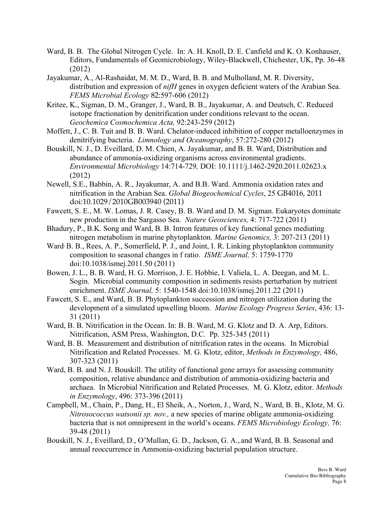- Ward, B. B. The Global Nitrogen Cycle. In: A. H. Knoll, D. E. Canfield and K. O. Konhauser, Editors, Fundamentals of Geomicrobiology, Wiley-Blackwell, Chichester, UK, Pp. 36-48 (2012)
- Jayakumar, A., Al-Rashaidat, M. M. D., Ward, B. B. and Mulholland, M. R. Diversity, distribution and expression of *nifH* genes in oxygen deficient waters of the Arabian Sea. *FEMS Microbial Ecology* 82:597-606 (2012)
- Kritee, K., Sigman, D. M., Granger, J., Ward, B. B., Jayakumar, A. and Deutsch, C. Reduced isotope fractionation by denitrification under conditions relevant to the ocean. *Geochemica Cosmochemica Acta,* 92:243-259 (2012)
- Moffett, J., C. B. Tuit and B. B. Ward. Chelator-induced inhibition of copper metalloenzymes in denitrifying bacteria. *Limnology and Oceanography*, 57:272-280 (2012)
- Bouskill, N. J., D. Eveillard, D. M. Chien, A. Jayakumar, and B. B. Ward, Distribution and abundance of ammonia-oxidizing organisms across environmental gradients. *Environmental Microbiology* 14:714-729*,* DOI: 10.1111/j.1462-2920.2011.02623.x (2012)
- Newell, S.E., Babbin, A. R., Jayakumar, A. and B.B. Ward. Ammonia oxidation rates and nitrification in the Arabian Sea. *Global Biogeochemical Cycles*, 25 GB4016, 2011 doi:10.1029/2010GB003940 (2011)
- Fawcett, S. E., M. W. Lomas, J. R. Casey, B. B. Ward and D. M. Sigman. Eukaryotes dominate new production in the Sargasso Sea. *Nature Geosciences,* 4: 717-722 (2011)
- Bhadury, P., B.K. Song and Ward, B. B. Intron features of key functional genes mediating nitrogen metabolism in marine phytoplankton. *Marine Genomics,* 3: 207-213 (2011)
- Ward<sup>,</sup> B. B., Rees, A. P., Somerfield, P. J., and Joint, I. R. Linking phytoplankton community composition to seasonal changes in f ratio. *ISME Journal,* 5: 1759-1770 doi:10.1038/ismej.2011.50 (2011)
- Bowen, J. L., B. B. Ward, H. G. Morrison, J. E. Hobbie, I. Valiela, L. A. Deegan, and M. L. Sogin. Microbial community composition in sediments resists perturbation by nutrient enrichment. *ISME Journal,* 5: 1540-1548 doi:10.1038/ismej.2011.22 (2011)
- Fawcett, S. E., and Ward, B. B. Phytoplankton succession and nitrogen utilization during the development of a simulated upwelling bloom. *Marine Ecology Progress Series*, 436: 13- 31 (2011)
- Ward, B. B. Nitrification in the Ocean. In: B. B. Ward, M. G. Klotz and D. A. Arp, Editors. Nitrification, ASM Press, Washington, D.C. Pp. 325-345 (2011)
- Ward, B. B. Measurement and distribution of nitrification rates in the oceans. In Microbial Nitrification and Related Processes. M. G. Klotz, editor, *Methods in Enzymology,* 486, 307-323 (2011)
- Ward, B. B. and N. J. Bouskill. The utility of functional gene arrays for assessing community composition, relative abundance and distribution of ammonia-oxidizing bacteria and archaea. In Microbial Nitrification and Related Processes. M. G. Klotz, editor. *Methods in Enzymology*, 496: 373-396 (2011)
- Campbell, M., Chain, P., Dang, H., El Sheik, A., Norton, J., Ward, N., Ward, B. B., Klotz, M. G. *Nitrosococcus watsonii sp. nov.,* a new species of marine obligate ammonia-oxidizing bacteria that is not omnipresent in the world's oceans. *FEMS Microbiology Ecology,* 76: 39-48 (2011)
- Bouskill, N. J., Eveillard, D., O'Mullan, G. D., Jackson, G. A., and Ward, B. B. Seasonal and annual reoccurrence in Ammonia-oxidizing bacterial population structure.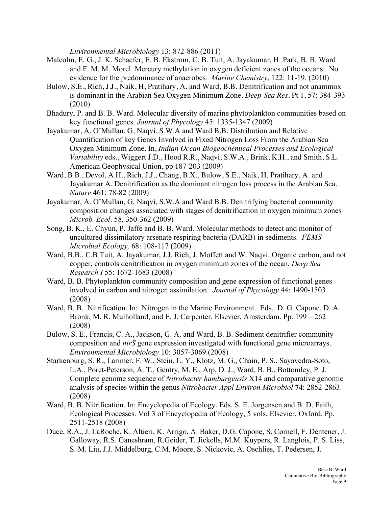*Environmental Microbiology* 13: 872-886 (2011)

- Malcolm, E. G., J. K. Schaefer, E. B. Ekstrom, C. B. Tuit, A. Jayakumar, H. Park, B. B. Ward and F. M. M. Morel. Mercury methylation in oxygen deficient zones of the oceans: No evidence for the predominance of anaerobes*. Marine Chemistry*, 122: 11-19. (2010)
- Bulow, S.E., Rich, J.J., Naik, H, Pratihary, A. and Ward, B.B. Denitrification and not anammox is dominant in the Arabian Sea Oxygen Minimum Zone. *Deep-Sea Res*. Pt 1, 57: 384-393 (2010)
- Bhadury, P. and B. B. Ward. Molecular diversity of marine phytoplankton communities based on key functional genes. *Journal of Phycology* 45: 1335-1347 (2009)
- Jayakumar, A. O'Mullan, G, Naqvi, S.W.A and Ward B.B. Distribution and Relative Quantification of key Genes Involved in Fixed Nitrogen Loss From the Arabian Sea Oxygen Minimum Zone. In, *Indian Ocean Biogeochemical Processes and Ecological Variability* eds., Wiggert J.D., Hood R.R., Naqvi, S.W.A., Brink, K.H., and Smith, S.L. American Geophysical Union, pp 187-203 (2009)
- Ward, B.B., Devol, A.H., Rich, J.J., Chang, B.X., Bulow, S.E., Naik, H, Pratihary, A. and Jayakumar A. Denitrification as the dominant nitrogen loss process in the Arabian Sea. *Nature* 461: 78-82 (2009)
- Jayakumar, A. O'Mullan, G, Naqvi, S.W.A and Ward B.B. Denitrifying bacterial community composition changes associated with stages of denitrification in oxygen minimum zones *Microb. Ecol*. 58, 350-362 (2009)
- Song, B. K., E. Chyun, P. Jaffe and B. B. Ward. Molecular methods to detect and monitor of uncultured dissimilatory arsenate respiring bacteria (DARB) in sediments. *FEMS Microbial Ecology,* 68: 108-117 (2009)
- *Research I* 55: 1672-1683 (2008) Ward, B.B., C.B Tuit, A. Jayakumar, J.J. Rich, J. Moffett and W. Naqvi. Organic carbon, and not copper, controls denitrification in oxygen minimum zones of the ocean. *Deep Sea*
- Ward, B. B. Phytoplankton community composition and gene expression of functional genes involved in carbon and nitrogen assimilation. *Journal of Phycology* 44: 1490-1503 (2008)
- Ward, B. B. Nitrification. In: Nitrogen in the Marine Environment. Eds. D. G. Capone, D. A. Bronk, M. R. Mulholland, and E. J. Carpenter. Elsevier, Amsterdam. Pp. 199 – 262 (2008)
- *Environmental Microbiology* 10: 3057-3069 (2008) Bulow, S. E., Francis, C. A., Jackson, G. A. and Ward, B. B. Sediment denitrifier community composition and *nirS* gene expression investigated with functional gene microarrays.
- Starkenburg, S. R., Larimer, F. W., Stein, L. Y., Klotz, M. G., Chain, P. S., Sayavedra-Soto, L.A., Poret-Peterson, A. T., Gentry, M. E., Arp, D. J., Ward, B. B., Bottomley, P. J. Complete genome sequence of *Nitrobacter hamburgensis* X14 and comparative genomic analysis of species within the genus *Nitrobacter Appl Environ Microbiol* **74**: 2852-2863. (2008)
- Ward, B. B. Nitrification. In: Encyclopedia of Ecology. Eds. S. E. Jorgensen and B. D. Faith, Ecological Processes. Vol 3 of Encyclopedia of Ecology, 5 vols. Elsevier, Oxford. Pp. 2511-2518 (2008)
- Duce, R.A., J. LaRoche, K. Altieri, K. Arrigo, A. Baker, D.G. Capone, S. Cornell, F. Dentener, J. Galloway, R.S. Ganeshram, R.Geider, T. Jickells, M.M. Kuypers, R. Langlois, P. S. Liss, S. M. Liu, J.J. Middelburg, C.M. Moore, S. Nickovic, A. Oschlies, T. Pedersen, J.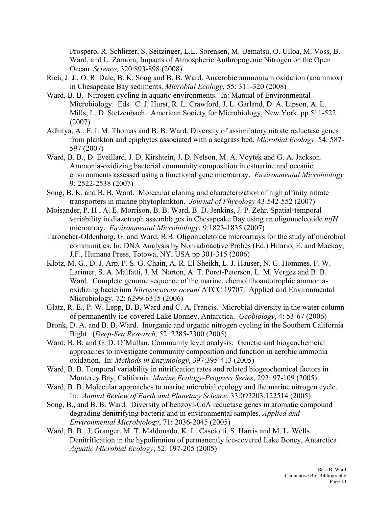Prospero, R. Schlitzer, S. Seitzinger, L.L. Sorensen, M. Uematsu, O. Ulloa, M. Voss, B. Ward, and L. Zamora, Impacts of Atmospheric Anthropogenic Nitrogen on the Open Ocean. *Science,* 320:893-898 (2008)

- Rich, J. J., O. R. Dale, B. K. Song and B. B. Ward. Anaerobic ammonium oxidation (anammox) in Chesapeake Bay sediments. *Microbial Ecology,* 55: 311-320 (2008)
- Ward, B. B. Nitrogen cycling in aquatic environments. In: Manual of Environmental Microbiology. Eds. C. J. Hurst, R. L. Crawford, J. L. Garland, D. A. Lipson, A. L. Mills, L. D. Stetzenbach. American Society for Microbiology, New York. pp 511-522 (2007)
- Adhitya, A., F. I. M. Thomas and B. B. Ward. Diversity of assimilatory nitrate reductase genes from plankton and epiphytes associated with a seagrass bed. *Microbial Ecology,* 54: 587- 597 (2007)
- 9: 2522-2538 (2007) Ward, B. B., D. Eveillard, J. D. Kirshtein, J. D. Nelson, M. A. Voytek and G. A. Jackson. Ammonia-oxidizing bacterial community composition in estuarine and oceanic environments assessed using a functional gene microarray. *Environmental Microbiology*
- Song, B. K. and B. B. Ward. Molecular cloning and characterization of high affinity nitrate transporters in marine phytoplankton. *Journal of Phycology* 43:542-552 (2007)
- Moisander, P. H., A. E. Morrison, B. B. Ward, B. D. Jenkins, J. P. Zehr. Spatial-temporal variability in diazotroph assemblages in Chesapeake Bay using an oligonucleotide *nifH*  microarray. *Environmental Microbiology*, 9:1823-1835 (2007)
- Taroncher-Oldenburg, G. and Ward, B.B. Oligonucletoide microarrays for the study of microbial communities. In: DNA Analysis by Nonradioactive Probes (Ed.) Hilario, E. and Mackay, J.F., Humana Press, Totowa, NY, USA pp 301-315 (2006)
- Klotz, M. G., D. J. Arp, P. S. G. Chain, A. R. El-Sheikh, L. J. Hauser, N. G. Hommes, F. W. Larimer, S. A. Malfatti, J. M. Norton, A. T. Poret-Peterson, L. M. Vergez and B. B. Ward. Complete genome sequence of the marine, chemolithoautotrophic ammoniaoxidizing bacterium *Nitrosococcus oceani* ATCC 19707. Applied and Environmental Microbiology, 72: 6299-6315 (2006)
- Glatz, R. E., P. W. Lepp, B. B. Ward and C. A. Francis. Microbial diversity in the water column of permanently ice-covered Lake Bonney, Antarctica. *Geobiology*, 4: 53-67 (2006)
- Bronk, D. A. and B. B. Ward. Inorganic and organic nitrogen cycling in the Southern California Bight. (*Deep-Sea Research*, 52: 2285-2300 (2005)
- Ward, B. B. and G. D. O'Mullan. Community level analysis: Genetic and biogeochemcial approaches to investigate community composition and function in aerobic ammonia oxidation. In: *Methods in Enzymology*, 397:395-413 (2005)
- Ward, B. B. Temporal variability in nitrification rates and related biogeochemical factors in Monterey Bay, California. *Marine Ecology-Progress Series*, 292: 97-109 (2005)
- Ward, B. B. Molecular approaches to marine microbial ecology and the marine nitrogen cycle. In: *Annual Review of Earth and Planetary Science*, 33:092203.122514 (2005)
- Song, B., and B. B. Ward. Diversity of benzoyl-CoA reductase genes in aromatic compound degrading denitrifying bacteria and in environmental samples, *Applied and Environmental Microbiology*, 71: 2036-2045 (2005)
- Ward, B. B., J. Granger, M. T. Maldonado, K. L. Casciotti, S. Harris and M. L. Wells. Denitrification in the hypolimnion of permanently ice-covered Lake Boney, Antarctica *Aquatic Microbial Ecology*, 52: 197-205 (2005)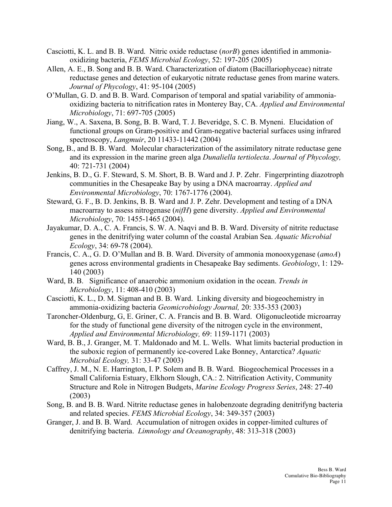- Casciotti, K. L. and B. B. Ward. Nitric oxide reductase (*norB*) genes identified in ammoniaoxidizing bacteria, *FEMS Microbial Ecology*, 52: 197-205 (2005)
- Allen, A. E., B. Song and B. B. Ward. Characterization of diatom (Bacillariophyceae) nitrate reductase genes and detection of eukaryotic nitrate reductase genes from marine waters. *Journal of Phycology*, 41: 95-104 (2005)
- O'Mullan, G. D. and B. B. Ward. Comparison of temporal and spatial variability of ammoniaoxidizing bacteria to nitrification rates in Monterey Bay, CA. *Applied and Environmental Microbiology*, 71: 697-705 (2005)
- Jiang, W., A. Saxena, B. Song, B. B. Ward, T. J. Beveridge, S. C. B. Myneni. Elucidation of functional groups on Gram-positive and Gram-negative bacterial surfaces using infrared spectroscopy, *Langmuir*, 20 11433-11442 (2004)
- Song, B., and B. B. Ward. Molecular characterization of the assimilatory nitrate reductase gene and its expression in the marine green alga *Dunaliella tertiolecta*. *Journal of Phycology,*  40: 721-731 (2004)
- Jenkins, B. D., G. F. Steward, S. M. Short, B. B. Ward and J. P. Zehr. Fingerprinting diazotroph communities in the Chesapeake Bay by using a DNA macroarray. *Applied and Environmental Microbiology*, 70: 1767-1776 (2004).
- Steward, G. F., B. D. Jenkins, B. B. Ward and J. P. Zehr. Development and testing of a DNA macroarray to assess nitrogenase (*nifH*) gene diversity. *Applied and Environmental Microbiology*, 70: 1455-1465 (2004).
- Jayakumar, D. A., C. A. Francis, S. W. A. Naqvi and B. B. Ward. Diversity of nitrite reductase genes in the denitrifying water column of the coastal Arabian Sea. *Aquatic Microbial Ecology*, 34: 69-78 (2004).
- Francis, C. A., G. D. O'Mullan and B. B. Ward. Diversity of ammonia monooxygenase (*amoA*) genes across environmental gradients in Chesapeake Bay sediments. *Geobiology*, 1: 129- 140 (2003)
- Ward, B. B. Significance of anaerobic ammonium oxidation in the ocean. *Trends in Microbiology*, 11: 408-410 (2003)
- Casciotti, K. L., D. M. Sigman and B. B. Ward. Linking diversity and biogeochemistry in ammonia-oxidizing bacteria *Geomicrobiology Journal,* 20: 335-353 (2003)
- Taroncher-Oldenburg, G, E. Griner, C. A. Francis and B. B. Ward. Oligonucleotide microarray for the study of functional gene diversity of the nitrogen cycle in the environment, *Applied and Environmental Microbiology,* 69: 1159-1171 (2003)
- Ward, B. B., J. Granger, M. T. Maldonado and M. L. Wells. What limits bacterial production in the suboxic region of permanently ice-covered Lake Bonney, Antarctica? *Aquatic Microbial Ecology,* 31: 33-47 (2003)
- Caffrey, J. M., N. E. Harrington, I. P. Solem and B. B. Ward. Biogeochemical Processes in a Small California Estuary, Elkhorn Slough, CA.: 2. Nitrification Activity, Community Structure and Role in Nitrogen Budgets, *Marine Ecology Progress Series*, 248: 27-40 (2003)
- Song, B. and B. B. Ward. Nitrite reductase genes in halobenzoate degrading denitrifyng bacteria and related species. *FEMS Microbial Ecology*, 34: 349-357 (2003)
- Granger, J. and B. B. Ward. Accumulation of nitrogen oxides in copper-limited cultures of denitrifying bacteria. *Limnology and Oceanography*, 48: 313-318 (2003)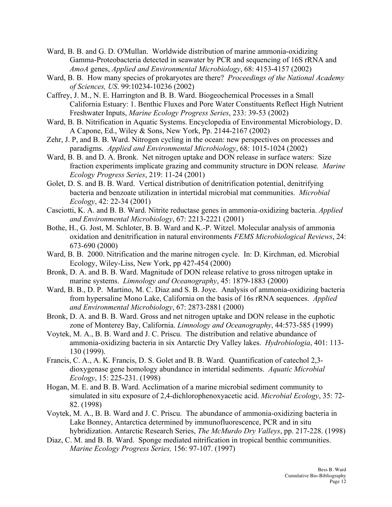- Ward, B. B. and G. D. O'Mullan. Worldwide distribution of marine ammonia-oxidizing Gamma-Proteobacteria detected in seawater by PCR and sequencing of 16S rRNA and *AmoA* genes, *Applied and Environmental Microbiology*, 68: 4153-4157 (2002)
- Ward, B. B. How many species of prokaryotes are there? *Proceedings of the National Academy of Sciences, US*. 99:10234-10236 (2002)
- Caffrey, J. M., N. E. Harrington and B. B. Ward. Biogeochemical Processes in a Small California Estuary: 1. Benthic Fluxes and Pore Water Constituents Reflect High Nutrient Freshwater Inputs, *Marine Ecology Progress Series*, 233: 39-53 (2002)
- Ward, B. B. Nitrification in Aquatic Systems. Encyclopedia of Environmental Microbiology, D. A Capone, Ed., Wiley & Sons, New York, Pp. 2144-2167 (2002)
- Zehr, J. P, and B. B. Ward. Nitrogen cycling in the ocean: new perspectives on processes and paradigms. *Applied and Environmental Microbiology*, 68: 1015-1024 (2002)
- Ward, B. B. and D. A. Bronk. Net nitrogen uptake and DON release in surface waters: Size fraction experiments implicate grazing and community structure in DON release*. Marine Ecology Progress Series*, 219: 11-24 (2001)
- Golet, D. S. and B. B. Ward. Vertical distribution of denitrification potential, denitrifying bacteria and benzoate utilization in intertidal microbial mat communities. *Microbial Ecology*, 42: 22-34 (2001)
- Casciotti, K. A. and B. B. Ward. Nitrite reductase genes in ammonia-oxidizing bacteria. *Applied and Environmental Microbiology*, 67: 2213-2221 (2001)
- Bothe, H., G. Jost, M. Schloter, B. B. Ward and K.-P. Witzel. Molecular analysis of ammonia oxidation and denitrification in natural environments *FEMS Microbiological Reviews*, 24: 673-690 (2000)
- Ward, B. B. 2000. Nitrification and the marine nitrogen cycle. In: D. Kirchman, ed. Microbial Ecology, Wiley-Liss, New York, pp 427-454 (2000)
- Bronk, D. A. and B. B. Ward. Magnitude of DON release relative to gross nitrogen uptake in marine systems. *Limnology and Oceanography*, 45: 1879-1883 (2000)
- Ward, B. B., D. P. Martino, M. C. Diaz and S. B. Joye. Analysis of ammonia-oxidizing bacteria from hypersaline Mono Lake, California on the basis of 16s rRNA sequences. *Applied and Environmental Microbiology*, 67: 2873-2881 (2000)
- Bronk, D. A. and B. B. Ward. Gross and net nitrogen uptake and DON release in the euphotic zone of Monterey Bay, California. *Limnology and Oceanography*, 44:573-585 (1999)
- Voytek, M. A., B. B. Ward and J. C. Priscu. The distribution and relative abundance of ammonia-oxidizing bacteria in six Antarctic Dry Valley lakes. *Hydrobiologia*, 401: 113- 130 (1999).
- Francis, C. A., A. K. Francis, D. S. Golet and B. B. Ward. Quantification of catechol 2,3 dioxygenase gene homology abundance in intertidal sediments. *Aquatic Microbial Ecology*, 15: 225-231. (1998)
- Hogan, M. E. and B. B. Ward. Acclimation of a marine microbial sediment community to simulated in situ exposure of 2,4-dichlorophenoxyacetic acid. *Microbial Ecology*, 35: 72- 82. (1998)
- Voytek, M. A., B. B. Ward and J. C. Priscu. The abundance of ammonia-oxidizing bacteria in Lake Bonney, Antarctica determined by immunofluorescence, PCR and in situ hybridization. Antarctic Research Series, *The McMurdo Dry Valleys*, pp. 217-228. (1998)
- Diaz, C. M. and B. B. Ward. Sponge mediated nitrification in tropical benthic communities. *Marine Ecology Progress Series,* 156: 97-107. (1997)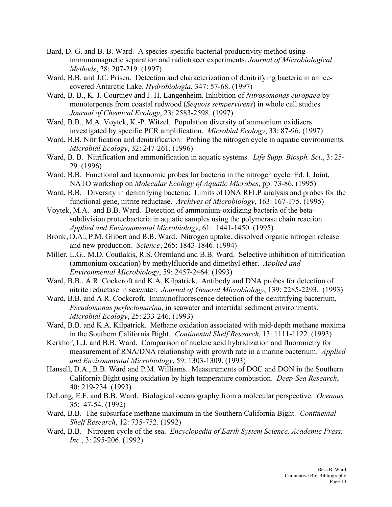- Bard, D. G. and B. B. Ward. A species-specific bacterial productivity method using immunomagnetic separation and radiotracer experiments. *Journal of Microbiological Methods*, 28: 207-219. (1997)
- Ward, B.B. and J.C. Priscu. Detection and characterization of denitrifying bacteria in an icecovered Antarctic Lake. *Hydrobiologia*, 347: 57-68. (1997)
- Ward, B. B., K. J. Courtney and J. H. Langenheim. Inhibition of *Nitrosomonas europaea* by monoterpenes from coastal redwood (*Sequois sempervirens*) in whole cell studies*. Journal of Chemical Ecology*, 23: 2583-2598. (1997)
- Ward, B.B., M.A. Voytek, K.-P. Witzel. Population diversity of ammonium oxidizers investigated by specific PCR amplification. *Microbial Ecology*, 33: 87-96. (1997)
- Ward, B.B. Nitrification and denitrification: Probing the nitrogen cycle in aquatic environments. *Microbial Ecology*, 32: 247-261. (1996)
- Ward, B. B. Nitrification and ammonification in aquatic systems. *Life Supp. Biosph. Sci*., 3: 25- 29. (1996)
- Ward, B.B. Functional and taxonomic probes for bacteria in the nitrogen cycle. Ed. I. Joint, NATO workshop on *Molecular Ecology of Aquatic Microbes*, pp. 73-86. (1995)
- Ward, B.B. Diversity in denitrifying bacteria: Limits of DNA RFLP analysis and probes for the functional gene, nitrite reductase. *Archives of Microbiology*, 163: 167-175. (1995)
- Voytek, M.A. and B.B. Ward. Detection of ammonium-oxidizing bacteria of the betasubdivision proteobacteria in aquatic samples using the polymerase chain reaction. *Applied and Environmental Microbiology*, 61: 1441-1450. (1995)
- Bronk, D.A., P.M. Glibert and B.B. Ward. Nitrogen uptake, dissolved organic nitrogen release and new production. *Science*, 265: 1843-1846. (1994)
- Miller, L.G., M.D. Coutlakis, R.S. Oremland and B.B. Ward. Selective inhibition of nitrification (ammonium oxidation) by methylfluoride and dimethyl ether. *Applied and Environmental Microbiology*, 59: 2457-2464. (1993)
- Ward, B.B., A.R. Cockcroft and K.A. Kilpatrick. Antibody and DNA probes for detection of nitrite reductase in seawater. *Journal of General Microbiology*, 139: 2285-2293. (1993)
- Ward, B.B. and A.R. Cockcroft. Immunofluorescence detection of the denitrifying bacterium, *Pseudomonas perfectomarina*, in seawater and intertidal sediment environments. *Microbial Ecology*, 25: 233-246. (1993)
- Ward, B.B. and K.A. Kilpatrick. Methane oxidation associated with mid-depth methane maxima in the Southern California Bight. *Continental Shelf Research*, 13: 1111-1122. (1993)
- Kerkhof, L.J. and B.B. Ward. Comparison of nucleic acid hybridization and fluorometry for measurement of RNA/DNA relationship with growth rate in a marine bacterium. *Applied and Environmental Microbiology*, 59: 1303-1309. (1993)
- Hansell, D.A., B.B. Ward and P.M. Williams. Measurements of DOC and DON in the Southern California Bight using oxidation by high temperature combustion. *Deep-Sea Research*, 40: 219-234. (1993)
- DeLong, E.F. and B.B. Ward. Biological oceanography from a molecular perspective. *Oceanus*  35: 47-54. (1992)
- Ward, B.B. The subsurface methane maximum in the Southern California Bight. *Continental Shelf Research*, 12: 735-752. (1992)
- Ward, B.B. Nitrogen cycle of the sea. *Encyclopedia of Earth System Science, Academic Press, Inc.*, 3: 295-206. (1992)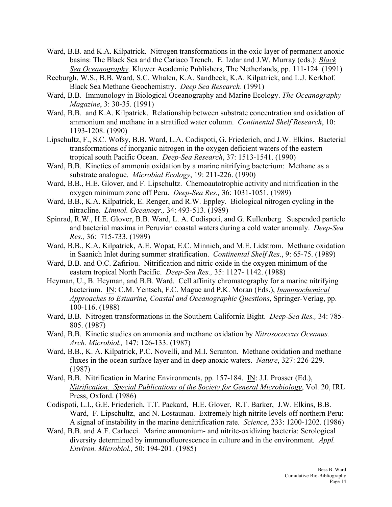- Ward, B.B. and K.A. Kilpatrick. Nitrogen transformations in the oxic layer of permanent anoxic basins: The Black Sea and the Cariaco Trench. E. Izdar and J.W. Murray (eds.): *Black Sea Oceanography,* Kluwer Academic Publishers, The Netherlands, pp. 111-124. (1991)
- Reeburgh, W.S., B.B. Ward, S.C. Whalen, K.A. Sandbeck, K.A. Kilpatrick, and L.J. Kerkhof. Black Sea Methane Geochemistry. *Deep Sea Research*. (1991)
- Ward, B.B. Immunology in Biological Oceanography and Marine Ecology. *The Oceanography Magazine*, 3: 30-35. (1991)
- Ward, B.B. and K.A. Kilpatrick. Relationship between substrate concentration and oxidation of ammonium and methane in a stratified water column. *Continental Shelf Research*, 10: 1193-1208. (1990)
- Lipschultz, F., S.C. Wofsy, B.B. Ward, L.A. Codispoti, G. Friederich, and J.W. Elkins. Bacterial transformations of inorganic nitrogen in the oxygen deficient waters of the eastern tropical south Pacific Ocean. *Deep-Sea Research*, 37: 1513-1541. (1990)
- Ward, B.B. Kinetics of ammonia oxidation by a marine nitrifying bacterium: Methane as a substrate analogue. *Microbial Ecology*, 19: 211-226. (1990)
- Ward, B.B., H.E. Glover, and F. Lipschultz. Chemoautotrophic activity and nitrification in the oxygen minimum zone off Peru. *Deep-Sea Res.,* 36: 1031-1051. (1989)
- Ward, B.B., K.A. Kilpatrick, E. Renger, and R.W. Eppley. Biological nitrogen cycling in the nitracline. *Limnol. Oceanogr.,* 34: 493-513. (1989)
- Spinrad, R.W., H.E. Glover, B.B. Ward, L. A. Codispoti, and G. Kullenberg. Suspended particle and bacterial maxima in Peruvian coastal waters during a cold water anomaly. *Deep-Sea Res.,* 36: 715-733. (1989)
- Ward, B.B., K.A. Kilpatrick, A.E. Wopat, E.C. Minnich, and M.E. Lidstrom. Methane oxidation in Saanich Inlet during summer stratification. *Continental Shelf Res*., 9: 65-75. (1989)
- Ward, B.B. and O.C. Zafiriou. Nitrification and nitric oxide in the oxygen minimum of the eastern tropical North Pacific. *Deep-Sea Res.,* 35: 1127- 1142. (1988)
- Heyman, U., B. Heyman, and B.B. Ward. Cell affinity chromatography for a marine nitrifying bacterium. IN: C.M. Yentsch, F.C. Mague and P.K. Moran (Eds.), *Immunochemical Approaches to Estuarine, Coastal and Oceanographic Questions*, Springer-Verlag, pp. 100-116. (1988)
- Ward, B.B. Nitrogen transformations in the Southern California Bight. *Deep-Sea Res.,* 34: 785- 805. (1987)
- Ward, B.B. Kinetic studies on ammonia and methane oxidation by *Nitrosococcus Oceanus. Arch. Microbiol.,* 147: 126-133. (1987)
- Ward, B.B., K. A. Kilpatrick, P.C. Novelli, and M.I. Scranton. Methane oxidation and methane fluxes in the ocean surface layer and in deep anoxic waters. *Nature*, 327: 226-229. (1987)
- Ward, B.B. Nitrification in Marine Environments, pp. 157-184. IN: J.I. Prosser (Ed.), *Nitrification. Special Publications of the Society for General Microbiology*, Vol. 20, IRL Press, Oxford. (1986)
- Codispoti, L.I., G.E. Friederich, T.T. Packard, H.E. Glover, R.T. Barker, J.W. Elkins, B.B. Ward, F. Lipschultz, and N. Lostaunau. Extremely high nitrite levels off northern Peru: A signal of instability in the marine denitrification rate. *Science*, 233: 1200-1202. (1986)
- Ward, B.B. and A.F. Carlucci. Marine ammonium- and nitrite-oxidizing bacteria: Serological diversity determined by immunofluorescence in culture and in the environment*. Appl. Environ. Microbiol.,* 50: 194-201. (1985)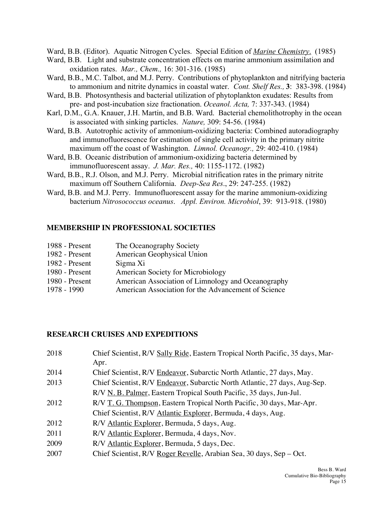Ward, B.B. (Editor). Aquatic Nitrogen Cycles. Special Edition of *Marine Chemistry*. (1985)

- Ward, B.B. Light and substrate concentration effects on marine ammonium assimilation and oxidation rates. *Mar., Chem.,* 16: 301-316. (1985)
- Ward, B.B., M.C. Talbot, and M.J. Perry. Contributions of phytoplankton and nitrifying bacteria to ammonium and nitrite dynamics in coastal water. *Cont. Shelf Res.,* **3**: 383-398. (1984)
- Ward, B.B. Photosynthesis and bacterial utilization of phytoplankton exudates: Results from pre- and post-incubation size fractionation. *Oceanol. Acta,* 7: 337-343. (1984)
- Karl, D.M., G.A. Knauer, J.H. Martin, and B.B. Ward. Bacterial chemolithotrophy in the ocean is associated with sinking particles. *Nature,* 309: 54-56. (1984)
- Ward, B.B. Autotrophic activity of ammonium-oxidizing bacteria: Combined autoradiography and immunofluorescence for estimation of single cell activity in the primary nitrite maximum off the coast of Washington. *Limnol. Oceanogr.,* 29: 402-410. (1984)
- Ward, B.B. Oceanic distribution of ammonium-oxidizing bacteria determined by immunofluorescent assay. *J. Mar. Res.,* 40: 1155-1172. (1982)
- Ward, B.B., R.J. Olson, and M.J. Perry. Microbial nitrification rates in the primary nitrite maximum off Southern California. *Deep-Sea Res*., 29: 247-255. (1982)
- Ward, B.B. and M.J. Perry. Immunofluorescent assay for the marine ammonium-oxidizing bacterium *Nitrosococcus oceanus*. *Appl. Environ. Microbiol*, 39: 913-918. (1980)

## **MEMBERSHIP IN PROFESSIONAL SOCIETIES**

| 1988 - Present | The Oceanography Society                            |
|----------------|-----------------------------------------------------|
| 1982 - Present | American Geophysical Union                          |
| 1982 - Present | Sigma Xi                                            |
| 1980 - Present | <b>American Society for Microbiology</b>            |
| 1980 - Present | American Association of Limnology and Oceanography  |
| 1978 - 1990    | American Association for the Advancement of Science |

### **RESEARCH CRUISES AND EXPEDITIONS**

| 2018 | Chief Scientist, R/V Sally Ride, Eastern Tropical North Pacific, 35 days, Mar- |
|------|--------------------------------------------------------------------------------|
|      | Apr.                                                                           |
| 2014 | Chief Scientist, R/V Endeavor, Subarctic North Atlantic, 27 days, May.         |
| 2013 | Chief Scientist, R/V Endeavor, Subarctic North Atlantic, 27 days, Aug-Sep.     |
|      | R/V N. B. Palmer, Eastern Tropical South Pacific, 35 days, Jun-Jul.            |
| 2012 | R/V T. G. Thompson, Eastern Tropical North Pacific, 30 days, Mar-Apr.          |
|      | Chief Scientist, R/V Atlantic Explorer, Bermuda, 4 days, Aug.                  |
| 2012 | R/V Atlantic Explorer, Bermuda, 5 days, Aug.                                   |
| 2011 | R/V Atlantic Explorer, Bermuda, 4 days, Nov.                                   |
| 2009 | R/V Atlantic Explorer, Bermuda, 5 days, Dec.                                   |
| 2007 | Chief Scientist, R/V Roger Revelle, Arabian Sea, 30 days, Sep – Oct.           |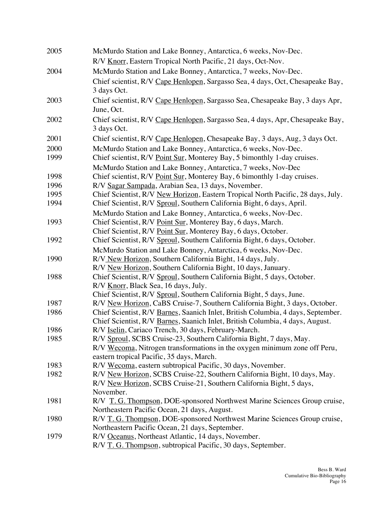| 2005 | McMurdo Station and Lake Bonney, Antarctica, 6 weeks, Nov-Dec.                                                                            |
|------|-------------------------------------------------------------------------------------------------------------------------------------------|
|      | R/V Knorr, Eastern Tropical North Pacific, 21 days, Oct-Nov.                                                                              |
| 2004 | McMurdo Station and Lake Bonney, Antarctica, 7 weeks, Nov-Dec.                                                                            |
|      | Chief scientist, R/V Cape Henlopen, Sargasso Sea, 4 days, Oct, Chesapeake Bay,<br>3 days Oct.                                             |
| 2003 | Chief scientist, R/V Cape Henlopen, Sargasso Sea, Chesapeake Bay, 3 days Apr,<br>June, Oct.                                               |
| 2002 | Chief scientist, R/V Cape Henlopen, Sargasso Sea, 4 days, Apr, Chesapeake Bay,<br>3 days Oct.                                             |
| 2001 | Chief scientist, R/V Cape Henlopen, Chesapeake Bay, 3 days, Aug, 3 days Oct.                                                              |
| 2000 | McMurdo Station and Lake Bonney, Antarctica, 6 weeks, Nov-Dec.                                                                            |
| 1999 | Chief scientist, R/V Point Sur, Monterey Bay, 5 bimonthly 1-day cruises.<br>McMurdo Station and Lake Bonney, Antarctica, 7 weeks, Nov-Dec |
| 1998 | Chief scientist, R/V Point Sur, Monterey Bay, 6 bimonthly 1-day cruises.                                                                  |
| 1996 | R/V Sagar Sampada, Arabian Sea, 13 days, November.                                                                                        |
| 1995 | Chief Scientist, R/V New Horizon, Eastern Tropical North Pacific, 28 days, July.                                                          |
| 1994 | Chief Scientist, R/V Sproul, Southern California Bight, 6 days, April.                                                                    |
|      | McMurdo Station and Lake Bonney, Antarctica, 6 weeks, Nov-Dec.                                                                            |
| 1993 | Chief Scientist, R/V Point Sur, Monterey Bay, 6 days, March.                                                                              |
|      | Chief Scientist, R/V Point Sur, Monterey Bay, 6 days, October.                                                                            |
| 1992 | Chief Scientist, R/V Sproul, Southern California Bight, 6 days, October.                                                                  |
|      | McMurdo Station and Lake Bonney, Antarctica, 6 weeks, Nov-Dec.                                                                            |
| 1990 | R/V New Horizon, Southern California Bight, 14 days, July.                                                                                |
|      | R/V New Horizon, Southern California Bight, 10 days, January.                                                                             |
| 1988 | Chief Scientist, R/V Sproul, Southern California Bight, 5 days, October.                                                                  |
|      | R/V Knorr, Black Sea, 16 days, July.                                                                                                      |
|      | Chief Scientist, R/V Sproul, Southern California Bight, 5 days, June.                                                                     |
| 1987 | R/V New Horizon, CaBS Cruise-7, Southern California Bight, 3 days, October.                                                               |
| 1986 | Chief Scientist, R/V Barnes, Saanich Inlet, British Columbia, 4 days, September.                                                          |
|      | Chief Scientist, R/V Barnes, Saanich Inlet, British Columbia, 4 days, August.                                                             |
| 1986 | R/V Iselin, Cariaco Trench, 30 days, February-March.                                                                                      |
| 1985 | R/V Sproul, SCBS Cruise-23, Southern California Bight, 7 days, May.                                                                       |
|      | R/V Wecoma, Nitrogen transformations in the oxygen minimum zone off Peru,                                                                 |
|      | eastern tropical Pacific, 35 days, March.                                                                                                 |
| 1983 | R/V Wecoma, eastern subtropical Pacific, 30 days, November.                                                                               |
| 1982 | R/V New Horizon, SCBS Cruise-22, Southern California Bight, 10 days, May.                                                                 |
|      | R/V New Horizon, SCBS Cruise-21, Southern California Bight, 5 days,                                                                       |
|      | November.                                                                                                                                 |
| 1981 | R/V T. G. Thompson, DOE-sponsored Northwest Marine Sciences Group cruise,<br>Northeastern Pacific Ocean, 21 days, August.                 |
| 1980 |                                                                                                                                           |
|      | R/V T. G. Thompson, DOE-sponsored Northwest Marine Sciences Group cruise,<br>Northeastern Pacific Ocean, 21 days, September.              |
| 1979 | R/V Oceanus, Northeast Atlantic, 14 days, November.                                                                                       |
|      | R/V T. G. Thompson, subtropical Pacific, 30 days, September.                                                                              |
|      |                                                                                                                                           |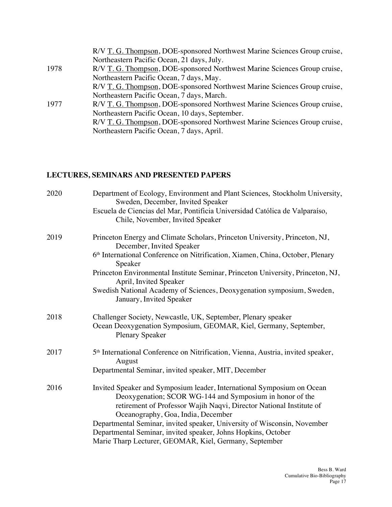|      | R/V T. G. Thompson, DOE-sponsored Northwest Marine Sciences Group cruise,<br>Northeastern Pacific Ocean, 21 days, July. |
|------|-------------------------------------------------------------------------------------------------------------------------|
| 1978 | R/V T. G. Thompson, DOE-sponsored Northwest Marine Sciences Group cruise,                                               |
|      | Northeastern Pacific Ocean, 7 days, May.                                                                                |
|      | R/V T. G. Thompson, DOE-sponsored Northwest Marine Sciences Group cruise,                                               |
|      | Northeastern Pacific Ocean, 7 days, March.                                                                              |
| 1977 | R/V T. G. Thompson, DOE-sponsored Northwest Marine Sciences Group cruise,                                               |
|      | Northeastern Pacific Ocean, 10 days, September.                                                                         |
|      | R/V T. G. Thompson, DOE-sponsored Northwest Marine Sciences Group cruise,                                               |
|      | Northeastern Pacific Ocean, 7 days, April.                                                                              |
|      |                                                                                                                         |

## **LECTURES, SEMINARS AND PRESENTED PAPERS**

| 2020 | Department of Ecology, Environment and Plant Sciences, Stockholm University,<br>Sweden, December, Invited Speaker<br>Escuela de Ciencias del Mar, Pontificia Universidad Católica de Valparaíso,<br>Chile, November, Invited Speaker                                                                                                                                                                                                                   |
|------|--------------------------------------------------------------------------------------------------------------------------------------------------------------------------------------------------------------------------------------------------------------------------------------------------------------------------------------------------------------------------------------------------------------------------------------------------------|
| 2019 | Princeton Energy and Climate Scholars, Princeton University, Princeton, NJ,<br>December, Invited Speaker<br>6th International Conference on Nitrification, Xiamen, China, October, Plenary<br>Speaker<br>Princeton Environmental Institute Seminar, Princeton University, Princeton, NJ,<br>April, Invited Speaker<br>Swedish National Academy of Sciences, Deoxygenation symposium, Sweden,<br>January, Invited Speaker                               |
| 2018 | Challenger Society, Newcastle, UK, September, Plenary speaker<br>Ocean Deoxygenation Symposium, GEOMAR, Kiel, Germany, September,<br><b>Plenary Speaker</b>                                                                                                                                                                                                                                                                                            |
| 2017 | 5 <sup>th</sup> International Conference on Nitrification, Vienna, Austria, invited speaker,<br>August<br>Departmental Seminar, invited speaker, MIT, December                                                                                                                                                                                                                                                                                         |
| 2016 | Invited Speaker and Symposium leader, International Symposium on Ocean<br>Deoxygenation; SCOR WG-144 and Symposium in honor of the<br>retirement of Professor Wajih Naqvi, Director National Institute of<br>Oceanography, Goa, India, December<br>Departmental Seminar, invited speaker, University of Wisconsin, November<br>Departmental Seminar, invited speaker, Johns Hopkins, October<br>Marie Tharp Lecturer, GEOMAR, Kiel, Germany, September |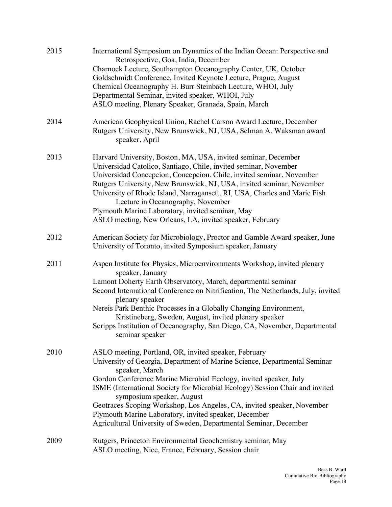| 2015 | International Symposium on Dynamics of the Indian Ocean: Perspective and<br>Retrospective, Goa, India, December<br>Charnock Lecture, Southampton Oceanography Center, UK, October<br>Goldschmidt Conference, Invited Keynote Lecture, Prague, August<br>Chemical Oceanography H. Burr Steinbach Lecture, WHOI, July<br>Departmental Seminar, invited speaker, WHOI, July<br>ASLO meeting, Plenary Speaker, Granada, Spain, March                                                                                                               |
|------|------------------------------------------------------------------------------------------------------------------------------------------------------------------------------------------------------------------------------------------------------------------------------------------------------------------------------------------------------------------------------------------------------------------------------------------------------------------------------------------------------------------------------------------------|
| 2014 | American Geophysical Union, Rachel Carson Award Lecture, December<br>Rutgers University, New Brunswick, NJ, USA, Selman A. Waksman award<br>speaker, April                                                                                                                                                                                                                                                                                                                                                                                     |
| 2013 | Harvard University, Boston, MA, USA, invited seminar, December<br>Universidad Catolico, Santiago, Chile, invited seminar, November<br>Universidad Concepcion, Concepcion, Chile, invited seminar, November<br>Rutgers University, New Brunswick, NJ, USA, invited seminar, November<br>University of Rhode Island, Narragansett, RI, USA, Charles and Marie Fish<br>Lecture in Oceanography, November<br>Plymouth Marine Laboratory, invited seminar, May<br>ASLO meeting, New Orleans, LA, invited speaker, February                          |
| 2012 | American Society for Microbiology, Proctor and Gamble Award speaker, June<br>University of Toronto, invited Symposium speaker, January                                                                                                                                                                                                                                                                                                                                                                                                         |
| 2011 | Aspen Institute for Physics, Microenvironments Workshop, invited plenary<br>speaker, January<br>Lamont Doherty Earth Observatory, March, departmental seminar<br>Second International Conference on Nitrification, The Netherlands, July, invited<br>plenary speaker<br>Nereis Park Benthic Processes in a Globally Changing Environment,<br>Kristineberg, Sweden, August, invited plenary speaker<br>Scripps Institution of Oceanography, San Diego, CA, November, Departmental<br>seminar speaker                                            |
| 2010 | ASLO meeting, Portland, OR, invited speaker, February<br>University of Georgia, Department of Marine Science, Departmental Seminar<br>speaker, March<br>Gordon Conference Marine Microbial Ecology, invited speaker, July<br>ISME (International Society for Microbial Ecology) Session Chair and invited<br>symposium speaker, August<br>Geotraces Scoping Workshop, Los Angeles, CA, invited speaker, November<br>Plymouth Marine Laboratory, invited speaker, December<br>Agricultural University of Sweden, Departmental Seminar, December |
| 2009 | Rutgers, Princeton Environmental Geochemistry seminar, May<br>ASLO meeting, Nice, France, February, Session chair                                                                                                                                                                                                                                                                                                                                                                                                                              |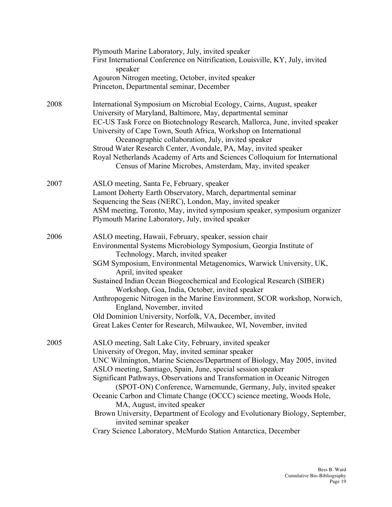|      | Plymouth Marine Laboratory, July, invited speaker<br>First International Conference on Nitrification, Louisville, KY, July, invited<br>speaker<br>Agouron Nitrogen meeting, October, invited speaker                                                                                                                                                                                                                                                                                                                                                                                                                                                                                            |
|------|-------------------------------------------------------------------------------------------------------------------------------------------------------------------------------------------------------------------------------------------------------------------------------------------------------------------------------------------------------------------------------------------------------------------------------------------------------------------------------------------------------------------------------------------------------------------------------------------------------------------------------------------------------------------------------------------------|
|      | Princeton, Departmental seminar, December                                                                                                                                                                                                                                                                                                                                                                                                                                                                                                                                                                                                                                                       |
| 2008 | International Symposium on Microbial Ecology, Cairns, August, speaker<br>University of Maryland, Baltimore, May, departmental seminar<br>EC-US Task Force on Biotechnology Research, Mallorca, June, invited speaker<br>University of Cape Town, South Africa, Workshop on International<br>Oceanographic collaboration, July, invited speaker<br>Stroud Water Research Center, Avondale, PA, May, invited speaker<br>Royal Netherlands Academy of Arts and Sciences Colloquium for International<br>Census of Marine Microbes, Amsterdam, May, invited speaker                                                                                                                                 |
| 2007 | ASLO meeting, Santa Fe, February, speaker<br>Lamont Doherty Earth Observatory, March, departmental seminar<br>Sequencing the Seas (NERC), London, May, invited speaker<br>ASM meeting, Toronto, May, invited symposium speaker, symposium organizer<br>Plymouth Marine Laboratory, July, invited speaker                                                                                                                                                                                                                                                                                                                                                                                        |
| 2006 | ASLO meeting, Hawaii, February, speaker, session chair<br>Environmental Systems Microbiology Symposium, Georgia Institute of<br>Technology, March, invited speaker<br>SGM Symposium, Environmental Metagenomics, Warwick University, UK,<br>April, invited speaker<br>Sustained Indian Ocean Biogeochemical and Ecological Research (SIBER)<br>Workshop, Goa, India, October, invited speaker<br>Anthropogenic Nitrogen in the Marine Environment, SCOR workshop, Norwich,<br>England, November, invited<br>Old Dominion University, Norfolk, VA, December, invited<br>Great Lakes Center for Research, Milwaukee, WI, November, invited                                                        |
| 2005 | ASLO meeting, Salt Lake City, February, invited speaker<br>University of Oregon, May, invited seminar speaker<br>UNC Wilmington, Marine Sciences/Department of Biology, May 2005, invited<br>ASLO meeting, Santiago, Spain, June, special session speaker<br>Significant Pathways, Observations and Transformation in Oceanic Nitrogen<br>(SPOT-ON) Conference, Warnemunde, Germany, July, invited speaker<br>Oceanic Carbon and Climate Change (OCCC) science meeting, Woods Hole,<br>MA, August, invited speaker<br>Brown University, Department of Ecology and Evolutionary Biology, September,<br>invited seminar speaker<br>Crary Science Laboratory, McMurdo Station Antarctica, December |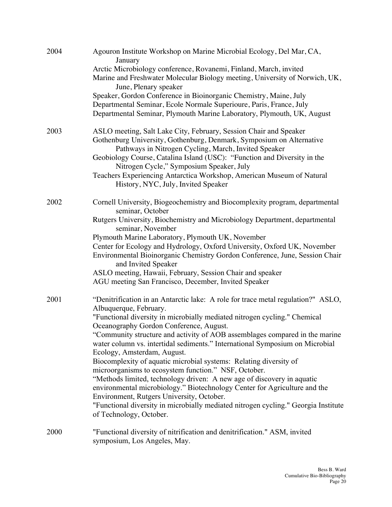| 2004 | Agouron Institute Workshop on Marine Microbial Ecology, Del Mar, CA,                                                                                                                                               |
|------|--------------------------------------------------------------------------------------------------------------------------------------------------------------------------------------------------------------------|
|      | January<br>Arctic Microbiology conference, Rovanemi, Finland, March, invited<br>Marine and Freshwater Molecular Biology meeting, University of Norwich, UK,<br>June, Plenary speaker                               |
|      | Speaker, Gordon Conference in Bioinorganic Chemistry, Maine, July<br>Departmental Seminar, Ecole Normale Superioure, Paris, France, July<br>Departmental Seminar, Plymouth Marine Laboratory, Plymouth, UK, August |
| 2003 | ASLO meeting, Salt Lake City, February, Session Chair and Speaker<br>Gothenburg University, Gothenburg, Denmark, Symposium on Alternative<br>Pathways in Nitrogen Cycling, March, Invited Speaker                  |
|      | Geobiology Course, Catalina Island (USC): "Function and Diversity in the<br>Nitrogen Cycle," Symposium Speaker, July                                                                                               |
|      | Teachers Experiencing Antarctica Workshop, American Museum of Natural<br>History, NYC, July, Invited Speaker                                                                                                       |
| 2002 | Cornell University, Biogeochemistry and Biocomplexity program, departmental<br>seminar, October                                                                                                                    |
|      | Rutgers University, Biochemistry and Microbiology Department, departmental<br>seminar, November                                                                                                                    |
|      | Plymouth Marine Laboratory, Plymouth UK, November                                                                                                                                                                  |
|      | Center for Ecology and Hydrology, Oxford University, Oxford UK, November<br>Environmental Bioinorganic Chemistry Gordon Conference, June, Session Chair<br>and Invited Speaker                                     |
|      | ASLO meeting, Hawaii, February, Session Chair and speaker                                                                                                                                                          |
|      | AGU meeting San Francisco, December, Invited Speaker                                                                                                                                                               |
| 2001 | "Denitrification in an Antarctic lake: A role for trace metal regulation?" ASLO,<br>Albuquerque, February.                                                                                                         |
|      | "Functional diversity in microbially mediated nitrogen cycling." Chemical<br>Oceanography Gordon Conference, August.                                                                                               |
|      | "Community structure and activity of AOB assemblages compared in the marine<br>water column vs. intertidal sediments." International Symposium on Microbial                                                        |
|      | Ecology, Amsterdam, August.<br>Biocomplexity of aquatic microbial systems: Relating diversity of                                                                                                                   |
|      | microorganisms to ecosystem function." NSF, October.<br>"Methods limited, technology driven: A new age of discovery in aquatic                                                                                     |
|      | environmental microbiology." Biotechnology Center for Agriculture and the<br>Environment, Rutgers University, October.                                                                                             |
|      | "Functional diversity in microbially mediated nitrogen cycling." Georgia Institute<br>of Technology, October.                                                                                                      |
| 2000 | "Functional diversity of nitrification and denitrification." ASM, invited<br>symposium, Los Angeles, May.                                                                                                          |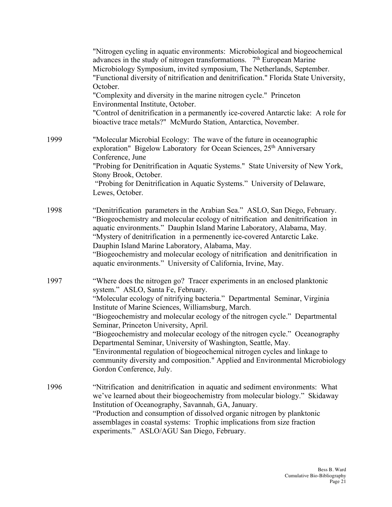|      | "Nitrogen cycling in aquatic environments: Microbiological and biogeochemical<br>advances in the study of nitrogen transformations. $7th$ European Marine<br>Microbiology Symposium, invited symposium, The Netherlands, September.<br>"Functional diversity of nitrification and denitrification." Florida State University,<br>October.                                                                                                                                                                                                                                                                                                                                                                             |
|------|-----------------------------------------------------------------------------------------------------------------------------------------------------------------------------------------------------------------------------------------------------------------------------------------------------------------------------------------------------------------------------------------------------------------------------------------------------------------------------------------------------------------------------------------------------------------------------------------------------------------------------------------------------------------------------------------------------------------------|
|      | "Complexity and diversity in the marine nitrogen cycle." Princeton<br>Environmental Institute, October.<br>"Control of denitrification in a permanently ice-covered Antarctic lake: A role for<br>bioactive trace metals?" McMurdo Station, Antarctica, November.                                                                                                                                                                                                                                                                                                                                                                                                                                                     |
| 1999 | "Molecular Microbial Ecology: The wave of the future in oceanographic<br>exploration" Bigelow Laboratory for Ocean Sciences, 25 <sup>th</sup> Anniversary<br>Conference, June                                                                                                                                                                                                                                                                                                                                                                                                                                                                                                                                         |
|      | "Probing for Denitrification in Aquatic Systems." State University of New York,                                                                                                                                                                                                                                                                                                                                                                                                                                                                                                                                                                                                                                       |
|      | Stony Brook, October.<br>"Probing for Denitrification in Aquatic Systems." University of Delaware,<br>Lewes, October.                                                                                                                                                                                                                                                                                                                                                                                                                                                                                                                                                                                                 |
| 1998 | "Denitrification parameters in the Arabian Sea." ASLO, San Diego, February.<br>"Biogeochemistry and molecular ecology of nitrification and denitrification in<br>aquatic environments." Dauphin Island Marine Laboratory, Alabama, May.<br>"Mystery of denitrification in a permenently ice-covered Antarctic Lake.<br>Dauphin Island Marine Laboratory, Alabama, May.<br>"Biogeochemistry and molecular ecology of nitrification and denitrification in<br>aquatic environments." University of California, Irvine, May.                                                                                                                                                                                             |
| 1997 | "Where does the nitrogen go? Tracer experiments in an enclosed planktonic<br>system." ASLO, Santa Fe, February.<br>"Molecular ecology of nitrifying bacteria." Departmental Seminar, Virginia<br>Institute of Marine Sciences, Williamsburg, March.<br>"Biogeochemistry and molecular ecology of the nitrogen cycle." Departmental<br>Seminar, Princeton University, April.<br>"Biogeochemistry and molecular ecology of the nitrogen cycle." Oceanography<br>Departmental Seminar, University of Washington, Seattle, May.<br>"Environmental regulation of biogeochemical nitrogen cycles and linkage to<br>community diversity and composition." Applied and Environmental Microbiology<br>Gordon Conference, July. |
| 1996 | "Nitrification and denitrification in aquatic and sediment environments: What<br>we've learned about their biogeochemistry from molecular biology." Skidaway<br>Institution of Oceanography, Savannah, GA, January.<br>"Production and consumption of dissolved organic nitrogen by planktonic<br>assemblages in coastal systems: Trophic implications from size fraction<br>experiments." ASLO/AGU San Diego, February.                                                                                                                                                                                                                                                                                              |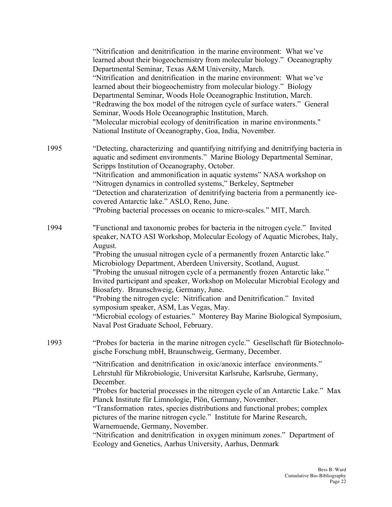|      | "Nitrification and denitrification in the marine environment: What we've<br>learned about their biogeochemistry from molecular biology." Oceanography<br>Departmental Seminar, Texas A&M University, March.<br>"Nitrification and denitrification in the marine environment: What we've<br>learned about their biogeochemistry from molecular biology." Biology<br>Departmental Seminar, Woods Hole Oceanographic Institution, March.<br>"Redrawing the box model of the nitrogen cycle of surface waters." General<br>Seminar, Woods Hole Oceanographic Institution, March.<br>"Molecular microbial ecology of denitrification in marine environments."<br>National Institute of Oceanography, Goa, India, November.                                                                                    |
|------|----------------------------------------------------------------------------------------------------------------------------------------------------------------------------------------------------------------------------------------------------------------------------------------------------------------------------------------------------------------------------------------------------------------------------------------------------------------------------------------------------------------------------------------------------------------------------------------------------------------------------------------------------------------------------------------------------------------------------------------------------------------------------------------------------------|
| 1995 | "Detecting, characterizing and quantifying nitrifying and denitrifying bacteria in<br>aquatic and sediment environments." Marine Biology Departmental Seminar,<br>Scripps Institution of Oceanography, October.<br>"Nitrification and ammonification in aquatic systems" NASA workshop on<br>"Nitrogen dynamics in controlled systems," Berkeley, Septmeber<br>"Detection and charaterization of denitrifying bacteria from a permanently ice-<br>covered Antarctic lake." ASLO, Reno, June.<br>"Probing bacterial processes on oceanic to micro-scales." MIT, March.                                                                                                                                                                                                                                    |
| 1994 | "Functional and taxonomic probes for bacteria in the nitrogen cycle." Invited<br>speaker, NATO ASI Workshop, Molecular Ecology of Aquatic Microbes, Italy,<br>August.<br>"Probing the unusual nitrogen cycle of a permanently frozen Antarctic lake."<br>Microbiology Department, Aberdeen University, Scotland, August.<br>"Probing the unusual nitrogen cycle of a permanently frozen Antarctic lake."<br>Invited participant and speaker, Workshop on Molecular Microbial Ecology and<br>Biosafety. Braunschweig, Germany, June.<br>"Probing the nitrogen cycle: Nitrification and Denitrification." Invited<br>symposium speaker, ASM, Las Vegas, May.<br>"Microbial ecology of estuaries." Monterey Bay Marine Biological Symposium,<br>Naval Post Graduate School, February.                       |
| 1993 | "Probes for bacteria in the marine nitrogen cycle." Gesellschaft für Biotechnolo-<br>gische Forschung mbH, Braunschweig, Germany, December.<br>"Nitrification and denitrification in oxic/anoxic interface environments."<br>Lehrstuhl für Mikrobiologie, Universitat Karlsruhe, Karlsruhe, Germany,<br>December.<br>"Probes for bacterial processes in the nitrogen cycle of an Antarctic Lake." Max<br>Planck Institute für Limnologie, Plön, Germany, November.<br>"Transformation rates, species distributions and functional probes; complex<br>pictures of the marine nitrogen cycle." Institute for Marine Research,<br>Warnemuende, Germany, November.<br>"Nitrification and denitrification in oxygen minimum zones." Department of<br>Ecology and Genetics, Aarhus University, Aarhus, Denmark |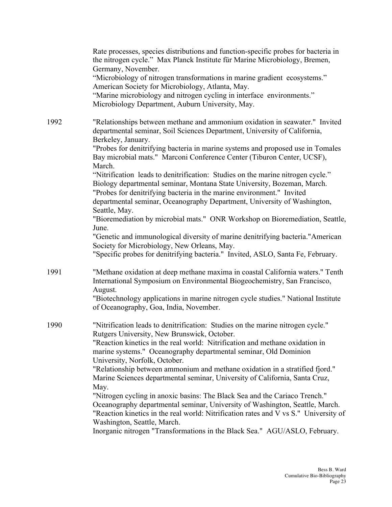|      | Rate processes, species distributions and function-specific probes for bacteria in<br>the nitrogen cycle." Max Planck Institute für Marine Microbiology, Bremen,<br>Germany, November.<br>"Microbiology of nitrogen transformations in marine gradient ecosystems."<br>American Society for Microbiology, Atlanta, May.<br>"Marine microbiology and nitrogen cycling in interface environments."<br>Microbiology Department, Auburn University, May.                                                                                                                     |
|------|--------------------------------------------------------------------------------------------------------------------------------------------------------------------------------------------------------------------------------------------------------------------------------------------------------------------------------------------------------------------------------------------------------------------------------------------------------------------------------------------------------------------------------------------------------------------------|
| 1992 | "Relationships between methane and ammonium oxidation in seawater." Invited<br>departmental seminar, Soil Sciences Department, University of California,<br>Berkeley, January.<br>"Probes for denitrifying bacteria in marine systems and proposed use in Tomales<br>Bay microbial mats." Marconi Conference Center (Tiburon Center, UCSF),<br>March.                                                                                                                                                                                                                    |
|      | "Nitrification leads to denitrification: Studies on the marine nitrogen cycle."<br>Biology departmental seminar, Montana State University, Bozeman, March.<br>"Probes for denitrifying bacteria in the marine environment." Invited<br>departmental seminar, Oceanography Department, University of Washington,<br>Seattle, May.<br>"Bioremediation by microbial mats." ONR Workshop on Bioremediation, Seattle,<br>June.                                                                                                                                                |
|      | "Genetic and immunological diversity of marine denitrifying bacteria."American<br>Society for Microbiology, New Orleans, May.<br>"Specific probes for denitrifying bacteria." Invited, ASLO, Santa Fe, February.                                                                                                                                                                                                                                                                                                                                                         |
| 1991 | "Methane oxidation at deep methane maxima in coastal California waters." Tenth<br>International Symposium on Environmental Biogeochemistry, San Francisco,<br>August.<br>"Biotechnology applications in marine nitrogen cycle studies." National Institute<br>of Oceanography, Goa, India, November.                                                                                                                                                                                                                                                                     |
| 1990 | "Nitrification leads to denitrification: Studies on the marine nitrogen cycle."<br>Rutgers University, New Brunswick, October.<br>"Reaction kinetics in the real world: Nitrification and methane oxidation in<br>marine systems." Oceanography departmental seminar, Old Dominion<br>University, Norfolk, October.<br>"Relationship between ammonium and methane oxidation in a stratified fjord."<br>Marine Sciences departmental seminar, University of California, Santa Cruz,<br>May.<br>"Nitrogen cycling in anoxic basins: The Black Sea and the Cariaco Trench." |
|      | Oceanography departmental seminar, University of Washington, Seattle, March.<br>"Reaction kinetics in the real world: Nitrification rates and V vs S." University of<br>Washington, Seattle, March.<br>Inorganic nitrogen "Transformations in the Black Sea." AGU/ASLO, February.                                                                                                                                                                                                                                                                                        |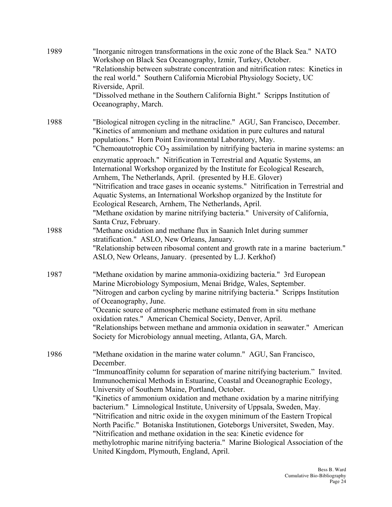| 1989 | "Inorganic nitrogen transformations in the oxic zone of the Black Sea." NATO<br>Workshop on Black Sea Oceanography, Izmir, Turkey, October.<br>"Relationship between substrate concentration and nitrification rates: Kinetics in<br>the real world." Southern California Microbial Physiology Society, UC<br>Riverside, April.<br>"Dissolved methane in the Southern California Bight." Scripps Institution of                                                                                                                    |
|------|------------------------------------------------------------------------------------------------------------------------------------------------------------------------------------------------------------------------------------------------------------------------------------------------------------------------------------------------------------------------------------------------------------------------------------------------------------------------------------------------------------------------------------|
|      | Oceanography, March.                                                                                                                                                                                                                                                                                                                                                                                                                                                                                                               |
| 1988 | "Biological nitrogen cycling in the nitracline." AGU, San Francisco, December.<br>"Kinetics of ammonium and methane oxidation in pure cultures and natural<br>populations." Horn Point Environmental Laboratory, May.<br>"Chemoautotrophic $CO2$ assimilation by nitrifying bacteria in marine systems: an                                                                                                                                                                                                                         |
|      | enzymatic approach." Nitrification in Terrestrial and Aquatic Systems, an<br>International Workshop organized by the Institute for Ecological Research,<br>Arnhem, The Netherlands, April. (presented by H.E. Glover)<br>"Nitrification and trace gases in oceanic systems." Nitrification in Terrestrial and<br>Aquatic Systems, an International Workshop organized by the Institute for                                                                                                                                         |
|      | Ecological Research, Arnhem, The Netherlands, April.<br>"Methane oxidation by marine nitrifying bacteria." University of California,<br>Santa Cruz, February.                                                                                                                                                                                                                                                                                                                                                                      |
| 1988 | "Methane oxidation and methane flux in Saanich Inlet during summer<br>stratification." ASLO, New Orleans, January.<br>"Relationship between ribosomal content and growth rate in a marine bacterium."                                                                                                                                                                                                                                                                                                                              |
|      | ASLO, New Orleans, January. (presented by L.J. Kerkhof)                                                                                                                                                                                                                                                                                                                                                                                                                                                                            |
| 1987 | "Methane oxidation by marine ammonia-oxidizing bacteria." 3rd European<br>Marine Microbiology Symposium, Menai Bridge, Wales, September.<br>"Nitrogen and carbon cycling by marine nitrifying bacteria." Scripps Institution<br>of Oceanography, June.                                                                                                                                                                                                                                                                             |
|      | "Oceanic source of atmospheric methane estimated from in situ methane                                                                                                                                                                                                                                                                                                                                                                                                                                                              |
|      | oxidation rates." American Chemical Society, Denver, April.<br>"Relationships between methane and ammonia oxidation in seawater." American<br>Society for Microbiology annual meeting, Atlanta, GA, March.                                                                                                                                                                                                                                                                                                                         |
| 1986 | "Methane oxidation in the marine water column." AGU, San Francisco,<br>December.                                                                                                                                                                                                                                                                                                                                                                                                                                                   |
|      | "Immunoaffinity column for separation of marine nitrifying bacterium." Invited.<br>Immunochemical Methods in Estuarine, Coastal and Oceanographic Ecology,<br>University of Southern Maine, Portland, October.                                                                                                                                                                                                                                                                                                                     |
|      | "Kinetics of ammonium oxidation and methane oxidation by a marine nitrifying<br>bacterium." Limnological Institute, University of Uppsala, Sweden, May.<br>"Nitrification and nitric oxide in the oxygen minimum of the Eastern Tropical<br>North Pacific." Botaniska Institutionen, Goteborgs Universitet, Sweden, May.<br>"Nitrification and methane oxidation in the sea: Kinetic evidence for<br>methylotrophic marine nitrifying bacteria." Marine Biological Association of the<br>United Kingdom, Plymouth, England, April. |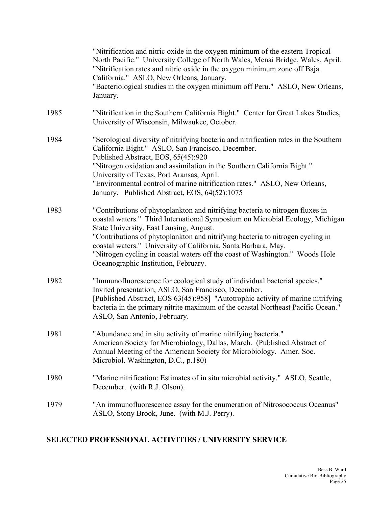|      | "Nitrification and nitric oxide in the oxygen minimum of the eastern Tropical<br>North Pacific." University College of North Wales, Menai Bridge, Wales, April.<br>"Nitrification rates and nitric oxide in the oxygen minimum zone off Baja<br>California." ASLO, New Orleans, January.<br>"Bacteriological studies in the oxygen minimum off Peru." ASLO, New Orleans,<br>January.                                                                                                  |
|------|---------------------------------------------------------------------------------------------------------------------------------------------------------------------------------------------------------------------------------------------------------------------------------------------------------------------------------------------------------------------------------------------------------------------------------------------------------------------------------------|
| 1985 | "Nitrification in the Southern California Bight." Center for Great Lakes Studies,<br>University of Wisconsin, Milwaukee, October.                                                                                                                                                                                                                                                                                                                                                     |
| 1984 | "Serological diversity of nitrifying bacteria and nitrification rates in the Southern<br>California Bight." ASLO, San Francisco, December.<br>Published Abstract, EOS, 65(45):920<br>"Nitrogen oxidation and assimilation in the Southern California Bight."<br>University of Texas, Port Aransas, April.<br>"Environmental control of marine nitrification rates." ASLO, New Orleans,<br>January. Published Abstract, EOS, 64(52):1075                                               |
| 1983 | "Contributions of phytoplankton and nitrifying bacteria to nitrogen fluxes in<br>coastal waters." Third International Symposium on Microbial Ecology, Michigan<br>State University, East Lansing, August.<br>"Contributions of phytoplankton and nitrifying bacteria to nitrogen cycling in<br>coastal waters." University of California, Santa Barbara, May.<br>"Nitrogen cycling in coastal waters off the coast of Washington." Woods Hole<br>Oceanographic Institution, February. |
| 1982 | "Immunofluorescence for ecological study of individual bacterial species."<br>Invited presentation, ASLO, San Francisco, December.<br>[Published Abstract, EOS 63(45):958] "Autotrophic activity of marine nitrifying<br>bacteria in the primary nitrite maximum of the coastal Northeast Pacific Ocean."<br>ASLO, San Antonio, February.                                                                                                                                             |
| 1981 | "Abundance and in situ activity of marine nitrifying bacteria."<br>American Society for Microbiology, Dallas, March. (Published Abstract of<br>Annual Meeting of the American Society for Microbiology. Amer. Soc.<br>Microbiol. Washington, D.C., p.180)                                                                                                                                                                                                                             |
| 1980 | "Marine nitrification: Estimates of in situ microbial activity." ASLO, Seattle,<br>December. (with R.J. Olson).                                                                                                                                                                                                                                                                                                                                                                       |
| 1979 | "An immunofluorescence assay for the enumeration of Nitrosococcus Oceanus"<br>ASLO, Stony Brook, June. (with M.J. Perry).                                                                                                                                                                                                                                                                                                                                                             |

# **SELECTED PROFESSIONAL ACTIVITIES / UNIVERSITY SERVICE**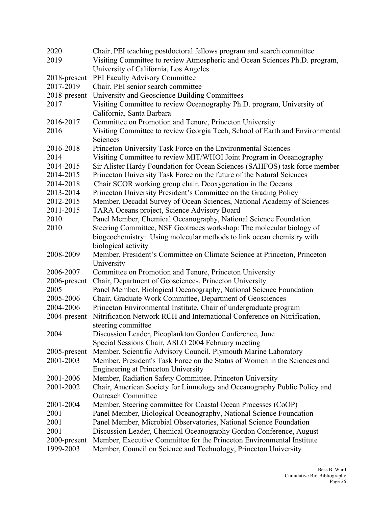| 2020            | Chair, PEI teaching postdoctoral fellows program and search committee                  |
|-----------------|----------------------------------------------------------------------------------------|
| 2019            | Visiting Committee to review Atmospheric and Ocean Sciences Ph.D. program,             |
|                 | University of California, Los Angeles                                                  |
| $2018$ -present | PEI Faculty Advisory Committee                                                         |
| 2017-2019       | Chair, PEI senior search committee                                                     |
| 2018-present    | University and Geoscience Building Committees                                          |
| 2017            | Visiting Committee to review Oceanography Ph.D. program, University of                 |
|                 | California, Santa Barbara                                                              |
| 2016-2017       | Committee on Promotion and Tenure, Princeton University                                |
| 2016            | Visiting Committee to review Georgia Tech, School of Earth and Environmental           |
|                 | Sciences                                                                               |
| 2016-2018       | Princeton University Task Force on the Environmental Sciences                          |
| 2014            | Visiting Committee to review MIT/WHOI Joint Program in Oceanography                    |
| 2014-2015       | Sir Alister Hardy Foundation for Ocean Sciences (SAHFOS) task force member             |
| 2014-2015       | Princeton University Task Force on the future of the Natural Sciences                  |
| 2014-2018       | Chair SCOR working group chair, Deoxygenation in the Oceans                            |
| 2013-2014       | Princeton University President's Committee on the Grading Policy                       |
| 2012-2015       | Member, Decadal Survey of Ocean Sciences, National Academy of Sciences                 |
| 2011-2015       | TARA Oceans project, Science Advisory Board                                            |
| 2010            | Panel Member, Chemical Oceanography, National Science Foundation                       |
| 2010            | Steering Committee, NSF Geotraces workshop: The molecular biology of                   |
|                 | biogeochemistry: Using molecular methods to link ocean chemistry with                  |
|                 | biological activity                                                                    |
| 2008-2009       | Member, President's Committee on Climate Science at Princeton, Princeton<br>University |
| 2006-2007       | Committee on Promotion and Tenure, Princeton University                                |
| 2006-present    | Chair, Department of Geosciences, Princeton University                                 |
| 2005            | Panel Member, Biological Oceanography, National Science Foundation                     |
| 2005-2006       | Chair, Graduate Work Committee, Department of Geosciences                              |
| 2004-2006       | Princeton Environmental Institute, Chair of undergraduate program                      |
| 2004-present    | Nitrification Network RCH and International Conference on Nitrification,               |
|                 | steering committee                                                                     |
| 2004            | Discussion Leader, Picoplankton Gordon Conference, June                                |
|                 | Special Sessions Chair, ASLO 2004 February meeting                                     |
| 2005-present    | Member, Scientific Advisory Council, Plymouth Marine Laboratory                        |
| 2001-2003       | Member, President's Task Force on the Status of Women in the Sciences and              |
|                 | <b>Engineering at Princeton University</b>                                             |
| 2001-2006       | Member, Radiation Safety Committee, Princeton University                               |
| 2001-2002       | Chair, American Society for Limnology and Oceanography Public Policy and               |
|                 | <b>Outreach Committee</b>                                                              |
| 2001-2004       | Member, Steering committee for Coastal Ocean Processes (CoOP)                          |
| 2001            | Panel Member, Biological Oceanography, National Science Foundation                     |
| 2001            | Panel Member, Microbial Observatories, National Science Foundation                     |
| 2001            | Discussion Leader, Chemical Oceanography Gordon Conference, August                     |
| $2000$ -present | Member, Executive Committee for the Princeton Environmental Institute                  |
| 1999-2003       | Member, Council on Science and Technology, Princeton University                        |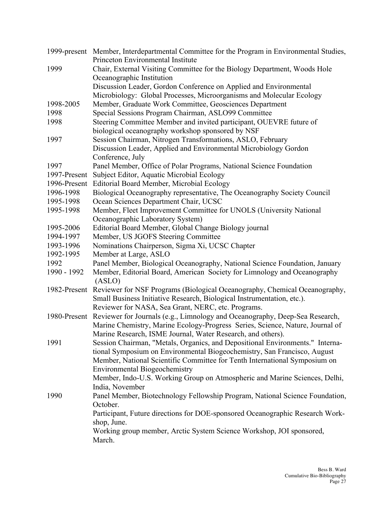|              | 1999-present Member, Interdepartmental Committee for the Program in Environmental Studies,<br>Princeton Environmental Institute |
|--------------|---------------------------------------------------------------------------------------------------------------------------------|
| 1999         | Chair, External Visiting Committee for the Biology Department, Woods Hole                                                       |
|              | Oceanographic Institution                                                                                                       |
|              | Discussion Leader, Gordon Conference on Applied and Environmental                                                               |
|              | Microbiology: Global Processes, Microorganisms and Molecular Ecology                                                            |
| 1998-2005    | Member, Graduate Work Committee, Geosciences Department                                                                         |
| 1998         | Special Sessions Program Chairman, ASLO99 Committee                                                                             |
| 1998         | Steering Committee Member and invited participant, OUEVRE future of                                                             |
|              | biological oceanography workshop sponsored by NSF                                                                               |
| 1997         | Session Chairman, Nitrogen Transformations, ASLO, February                                                                      |
|              | Discussion Leader, Applied and Environmental Microbiology Gordon                                                                |
|              | Conference, July                                                                                                                |
| 1997         | Panel Member, Office of Polar Programs, National Science Foundation                                                             |
| 1997-Present | Subject Editor, Aquatic Microbial Ecology                                                                                       |
|              | 1996-Present Editorial Board Member, Microbial Ecology                                                                          |
| 1996-1998    | Biological Oceanography representative, The Oceanography Society Council                                                        |
| 1995-1998    | Ocean Sciences Department Chair, UCSC                                                                                           |
| 1995-1998    | Member, Fleet Improvement Committee for UNOLS (University National                                                              |
|              | Oceanographic Laboratory System)                                                                                                |
| 1995-2006    | Editorial Board Member, Global Change Biology journal                                                                           |
| 1994-1997    | Member, US JGOFS Steering Committee                                                                                             |
| 1993-1996    | Nominations Chairperson, Sigma Xi, UCSC Chapter                                                                                 |
| 1992-1995    | Member at Large, ASLO                                                                                                           |
| 1992         | Panel Member, Biological Oceanography, National Science Foundation, January                                                     |
| 1990 - 1992  | Member, Editorial Board, American Society for Limnology and Oceanography<br>(ASLO)                                              |
| 1982-Present | Reviewer for NSF Programs (Biological Oceanography, Chemical Oceanography,                                                      |
|              | Small Business Initiative Research, Biological Instrumentation, etc.).                                                          |
|              | Reviewer for NASA, Sea Grant, NERC, etc. Programs.                                                                              |
|              | 1980-Present Reviewer for Journals (e.g., Limnology and Oceanography, Deep-Sea Research,                                        |
|              | Marine Chemistry, Marine Ecology-Progress Series, Science, Nature, Journal of                                                   |
|              | Marine Research, ISME Journal, Water Research, and others).                                                                     |
| 1991         | Session Chairman, "Metals, Organics, and Depositional Environments." Interna-                                                   |
|              | tional Symposium on Environmental Biogeochemistry, San Francisco, August                                                        |
|              | Member, National Scientific Committee for Tenth International Symposium on                                                      |
|              | <b>Environmental Biogeochemistry</b>                                                                                            |
|              | Member, Indo-U.S. Working Group on Atmospheric and Marine Sciences, Delhi,                                                      |
| 1990         | India, November                                                                                                                 |
|              | Panel Member, Biotechnology Fellowship Program, National Science Foundation,<br>October.                                        |
|              | Participant, Future directions for DOE-sponsored Oceanographic Research Work-                                                   |
|              | shop, June.                                                                                                                     |
|              | Working group member, Arctic System Science Workshop, JOI sponsored,                                                            |
|              | March.                                                                                                                          |
|              |                                                                                                                                 |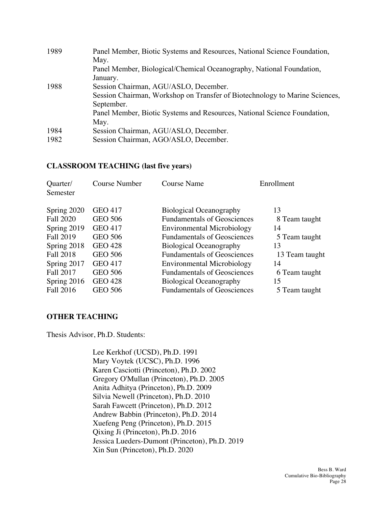| 1989 | Panel Member, Biotic Systems and Resources, National Science Foundation,<br>May. |
|------|----------------------------------------------------------------------------------|
|      | Panel Member, Biological/Chemical Oceanography, National Foundation,<br>January. |
| 1988 | Session Chairman, AGU/ASLO, December.                                            |
|      | Session Chairman, Workshop on Transfer of Biotechnology to Marine Sciences,      |
|      | September.                                                                       |
|      | Panel Member, Biotic Systems and Resources, National Science Foundation,         |
|      | May.                                                                             |
| 1984 | Session Chairman, AGU/ASLO, December.                                            |
| 1982 | Session Chairman, AGO/ASLO, December.                                            |

## **CLASSROOM TEACHING (last five years)**

| Quarter/<br>Semester | <b>Course Number</b> | <b>Course Name</b>                 | Enrollment     |
|----------------------|----------------------|------------------------------------|----------------|
| Spring 2020          | <b>GEO 417</b>       | <b>Biological Oceanography</b>     | 13             |
| <b>Fall 2020</b>     | <b>GEO 506</b>       | <b>Fundamentals of Geosciences</b> | 8 Team taught  |
| Spring 2019          | <b>GEO 417</b>       | <b>Environmental Microbiology</b>  | 14             |
| <b>Fall 2019</b>     | <b>GEO 506</b>       | <b>Fundamentals of Geosciences</b> | 5 Team taught  |
| Spring 2018          | <b>GEO 428</b>       | <b>Biological Oceanography</b>     | 13             |
| <b>Fall 2018</b>     | <b>GEO 506</b>       | <b>Fundamentals of Geosciences</b> | 13 Team taught |
| Spring 2017          | <b>GEO 417</b>       | <b>Environmental Microbiology</b>  | 14             |
| Fall 2017            | <b>GEO 506</b>       | <b>Fundamentals of Geosciences</b> | 6 Team taught  |
| Spring 2016          | <b>GEO 428</b>       | <b>Biological Oceanography</b>     | 15             |
| Fall 2016            | <b>GEO 506</b>       | <b>Fundamentals of Geosciences</b> | 5 Team taught  |

## **OTHER TEACHING**

Thesis Advisor, Ph.D. Students:

Lee Kerkhof (UCSD), Ph.D. 1991 Mary Voytek (UCSC), Ph.D. 1996 Karen Casciotti (Princeton), Ph.D. 2002 Gregory O'Mullan (Princeton), Ph.D. 2005 Anita Adhitya (Princeton), Ph.D. 2009 Silvia Newell (Princeton), Ph.D. 2010 Sarah Fawcett (Princeton), Ph.D. 2012 Andrew Babbin (Princeton), Ph.D. 2014 Xuefeng Peng (Princeton), Ph.D. 2015 Qixing Ji (Princeton), Ph.D. 2016 Jessica Lueders-Dumont (Princeton), Ph.D. 2019 Xin Sun (Princeton), Ph.D. 2020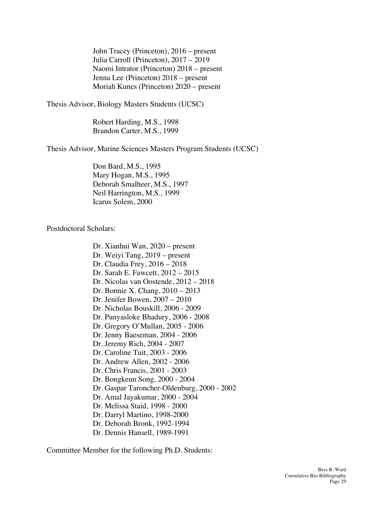John Tracey (Princeton), 2016 – present Julia Carroll (Princeton), 2017 – 2019 Naomi Intrator (Princeton) 2018 – present Jenna Lee (Princeton) 2018 – present Moriah Kunes (Princeton) 2020 – present

Thesis Advisor, Biology Masters Students (UCSC)

Robert Harding, M.S., 1998 Brandon Carter, M.S., 1999

Thesis Advisor, Marine Sciences Masters Program Students (UCSC)

Don Bard, M.S., 1995 Mary Hogan, M.S., 1995 Deborah Smalheer, M.S., 1997 Neil Harrington, M.S., 1999 Icarus Solem, 2000

Postdoctoral Scholars:

Dr. Xianhui Wan, 2020 – present Dr. Weiyi Tang, 2019 – present Dr. Claudia Frey, 2016 – 2018 Dr. Sarah E. Fawcett, 2012 – 2015 Dr. Nicolas van Oostende, 2012 – 2018 Dr. Bonnie X. Chang, 2010 – 2013 Dr. Jenifer Bowen, 2007 – 2010 Dr. Nicholas Bouskill, 2006 - 2009 Dr. Punyasloke Bhadury, 2006 - 2008 Dr. Gregory O'Mullan, 2005 - 2006 Dr. Jenny Baeseman, 2004 - 2006 Dr. Jeremy Rich, 2004 - 2007 Dr. Caroline Tuit, 2003 - 2006 Dr. Andrew Allen, 2002 - 2006 Dr. Chris Francis, 2001 - 2003 Dr. Bongkeun Song, 2000 - 2004 Dr. Gaspar Taroncher-Oldenburg, 2000 - 2002 Dr. Amal Jayakumar, 2000 - 2004 Dr. Melissa Staid, 1998 - 2000 Dr. Darryl Martino, 1998-2000 Dr. Deborah Bronk, 1992-1994 Dr. Dennis Hansell, 1989-1991

Committee Member for the following Ph.D. Students: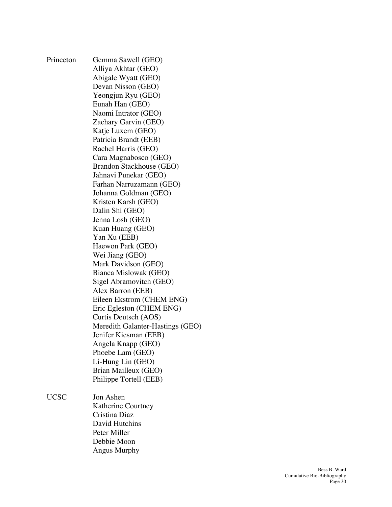| Princeton   | Gemma Sawell (GEO)               |
|-------------|----------------------------------|
|             | Alliya Akhtar (GEO)              |
|             | Abigale Wyatt (GEO)              |
|             | Devan Nisson (GEO)               |
|             | Yeongjun Ryu (GEO)               |
|             | Eunah Han (GEO)                  |
|             | Naomi Intrator (GEO)             |
|             | Zachary Garvin (GEO)             |
|             | Katje Luxem (GEO)                |
|             | Patricia Brandt (EEB)            |
|             | Rachel Harris (GEO)              |
|             | Cara Magnabosco (GEO)            |
|             | Brandon Stackhouse (GEO)         |
|             | Jahnavi Punekar (GEO)            |
|             | Farhan Narruzamann (GEO)         |
|             | Johanna Goldman (GEO)            |
|             | Kristen Karsh (GEO)              |
|             | Dalin Shi (GEO)                  |
|             | Jenna Losh (GEO)                 |
|             | Kuan Huang (GEO)                 |
|             | Yan Xu (EEB)                     |
|             | Haewon Park (GEO)                |
|             | Wei Jiang (GEO)                  |
|             | Mark Davidson (GEO)              |
|             | Bianca Mislowak (GEO)            |
|             | Sigel Abramovitch (GEO)          |
|             | Alex Barron (EEB)                |
|             | Eileen Ekstrom (CHEM ENG)        |
|             | Eric Egleston (CHEM ENG)         |
|             | Curtis Deutsch (AOS)             |
|             | Meredith Galanter-Hastings (GEO) |
|             | Jenifer Kiesman (EEB)            |
|             | Angela Knapp (GEO)               |
|             | Phoebe Lam (GEO)                 |
|             | Li-Hung Lin (GEO)                |
|             | Brian Mailleux (GEO)             |
|             | Philippe Tortell (EEB)           |
| <b>UCSC</b> | Jon Ashen                        |
|             | Katherine Courtney               |
|             | Cristina Diaz                    |
|             | David Hutchins                   |

Peter Miller Debbie Moon Angus Murphy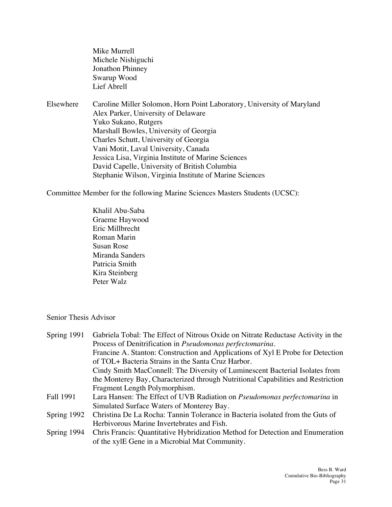Mike Murrell Michele Nishiguchi Jonathon Phinney Swarup Wood Lief Abrell

Elsewhere Caroline Miller Solomon, Horn Point Laboratory, University of Maryland Alex Parker, University of Delaware Yuko Sukano, Rutgers Marshall Bowles, University of Georgia Charles Schutt, University of Georgia Vani Motit, Laval University, Canada Jessica Lisa, Virginia Institute of Marine Sciences David Capelle, University of British Columbia Stephanie Wilson, Virginia Institute of Marine Sciences

Committee Member for the following Marine Sciences Masters Students (UCSC):

Khalil Abu-Saba Graeme Haywood Eric Millbrecht Roman Marin Susan Rose Miranda Sanders Patricia Smith Kira Steinberg Peter Walz

## Senior Thesis Advisor

| Spring 1991 | Gabriela Tobal: The Effect of Nitrous Oxide on Nitrate Reductase Activity in the |
|-------------|----------------------------------------------------------------------------------|
|             | Process of Denitrification in <i>Pseudomonas perfectomarina</i> .                |
|             | Francine A. Stanton: Construction and Applications of Xyl E Probe for Detection  |
|             | of TOL+ Bacteria Strains in the Santa Cruz Harbor.                               |
|             | Cindy Smith MacConnell: The Diversity of Luminescent Bacterial Isolates from     |
|             | the Monterey Bay, Characterized through Nutritional Capabilities and Restriction |
|             | Fragment Length Polymorphism.                                                    |
| Fall 1991   | Lara Hansen: The Effect of UVB Radiation on <i>Pseudomonas perfectomarina</i> in |
|             | Simulated Surface Waters of Monterey Bay.                                        |
| Spring 1992 | Christina De La Rocha: Tannin Tolerance in Bacteria isolated from the Guts of    |
|             | Herbivorous Marine Invertebrates and Fish.                                       |
| Spring 1994 | Chris Francis: Quantitative Hybridization Method for Detection and Enumeration   |
|             | of the xylE Gene in a Microbial Mat Community.                                   |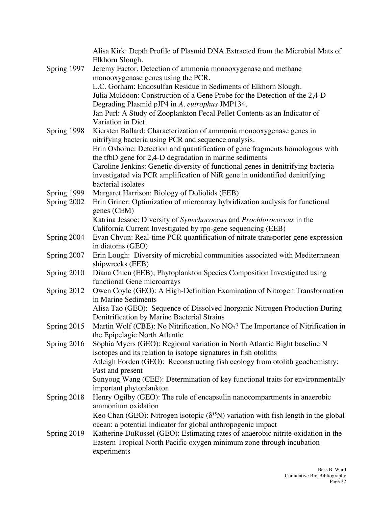|             | Alisa Kirk: Depth Profile of Plasmid DNA Extracted from the Microbial Mats of<br>Elkhorn Slough.                                                              |
|-------------|---------------------------------------------------------------------------------------------------------------------------------------------------------------|
| Spring 1997 | Jeremy Factor, Detection of ammonia monooxygenase and methane                                                                                                 |
|             | monooxygenase genes using the PCR.                                                                                                                            |
|             | L.C. Gorham: Endosulfan Residue in Sediments of Elkhorn Slough.                                                                                               |
|             | Julia Muldoon: Construction of a Gene Probe for the Detection of the 2,4-D                                                                                    |
|             | Degrading Plasmid pJP4 in A. eutrophus JMP134.                                                                                                                |
|             | Jan Purl: A Study of Zooplankton Fecal Pellet Contents as an Indicator of                                                                                     |
|             | Variation in Diet.                                                                                                                                            |
| Spring 1998 | Kiersten Ballard: Characterization of ammonia monooxygenase genes in                                                                                          |
|             | nitrifying bacteria using PCR and sequence analysis.<br>Erin Osborne: Detection and quantification of gene fragments homologous with                          |
|             | the tfbD gene for 2,4-D degradation in marine sediments                                                                                                       |
|             | Caroline Jenkins: Genetic diversity of functional genes in denitrifying bacteria                                                                              |
|             | investigated via PCR amplification of NiR gene in unidentified denitrifying                                                                                   |
|             | bacterial isolates                                                                                                                                            |
| Spring 1999 | Margaret Harrison: Biology of Doliolids (EEB)                                                                                                                 |
| Spring 2002 | Erin Griner: Optimization of microarray hybridization analysis for functional                                                                                 |
|             | genes (CEM)                                                                                                                                                   |
|             | Katrina Jessoe: Diversity of Synechococcus and Prochlorococcus in the                                                                                         |
|             | California Current Investigated by rpo-gene sequencing (EEB)                                                                                                  |
| Spring 2004 | Evan Chyun: Real-time PCR quantification of nitrate transporter gene expression                                                                               |
|             | in diatoms (GEO)                                                                                                                                              |
| Spring 2007 | Erin Lough: Diversity of microbial communities associated with Mediterranean                                                                                  |
| Spring 2010 | shipwrecks (EEB)<br>Diana Chien (EEB); Phytoplankton Species Composition Investigated using                                                                   |
|             | functional Gene microarrays                                                                                                                                   |
| Spring 2012 | Owen Coyle (GEO): A High-Definition Examination of Nitrogen Transformation                                                                                    |
|             | in Marine Sediments                                                                                                                                           |
|             | Alisa Tao (GEO): Sequence of Dissolved Inorganic Nitrogen Production During                                                                                   |
|             | Denitrification by Marine Bacterial Strains                                                                                                                   |
| Spring 2015 | Martin Wolf (CBE): No Nitrification, No $NO3$ ? The Importance of Nitrification in                                                                            |
|             | the Epipelagic North Atlantic                                                                                                                                 |
| Spring 2016 | Sophia Myers (GEO): Regional variation in North Atlantic Bight baseline N                                                                                     |
|             | isotopes and its relation to isotope signatures in fish otoliths                                                                                              |
|             | Atleigh Forden (GEO): Reconstructing fish ecology from otolith geochemistry:                                                                                  |
|             | Past and present                                                                                                                                              |
|             | Sunyoug Wang (CEE): Determination of key functional traits for environmentally                                                                                |
|             | important phytoplankton                                                                                                                                       |
| Spring 2018 | Henry Ogilby (GEO): The role of encapsulin nanocompartments in anaerobic<br>ammonium oxidation                                                                |
|             |                                                                                                                                                               |
|             | Keo Chan (GEO): Nitrogen isotopic ( $\delta^{15}$ N) variation with fish length in the global<br>ocean: a potential indicator for global anthropogenic impact |
| Spring 2019 | Katherine DuRussel (GEO): Estimating rates of anaerobic nitrite oxidation in the                                                                              |
|             | Eastern Tropical North Pacific oxygen minimum zone through incubation                                                                                         |
|             | experiments                                                                                                                                                   |
|             |                                                                                                                                                               |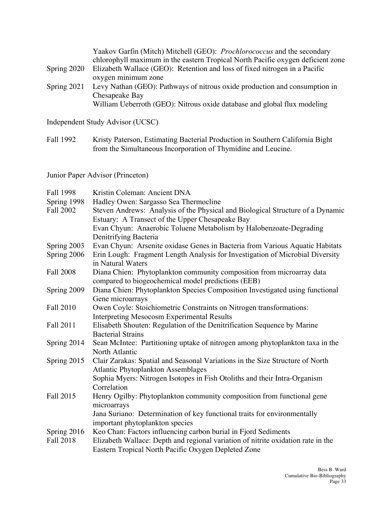chlorophyll maximum in the eastern Tropical North Pacific oxygen deficient zone Yaakov Garfin (Mitch) Mitchell (GEO): *Prochlorococcus* and the secondary Spring 2020 Elizabeth Wallace (GEO): Retention and loss of fixed nitrogen in a Pacific oxygen minimum zone Spring 2021 Levy Nathan (GEO): Pathways of nitrous oxide production and consumption in Chesapeake Bay William Ueberroth (GEO): Nitrous oxide database and global flux modeling

Independent Study Advisor (UCSC)

Fall 1992 Kristy Paterson, Estimating Bacterial Production in Southern California Bight from the Simultaneous Incorporation of Thymidine and Leucine.

Junior Paper Advisor (Princeton)

| Fall 1998        | Kristin Coleman: Ancient DNA                                                     |
|------------------|----------------------------------------------------------------------------------|
| Spring 1998      | Hadley Owen: Sargasso Sea Thermocline                                            |
| Fall 2002        | Steven Andrews: Analysis of the Physical and Biological Structure of a Dynamic   |
|                  | Estuary: A Transect of the Upper Chesapeake Bay                                  |
|                  | Evan Chyun: Anaerobic Toluene Metabolism by Halobenzoate-Degrading               |
|                  | Denitrifying Bacteria                                                            |
| Spring 2003      | Evan Chyun: Arsenite oxidase Genes in Bacteria from Various Aquatic Habitats     |
| Spring 2006      | Erin Lough: Fragment Length Analysis for Investigation of Microbial Diversity    |
|                  | in Natural Waters                                                                |
| <b>Fall 2008</b> | Diana Chien: Phytoplankton community composition from microarray data            |
|                  | compared to biogeochemical model predictions (EEB)                               |
| Spring 2009      | Diana Chien: Phytoplankton Species Composition Investigated using functional     |
|                  | Gene microarrays                                                                 |
| Fall 2010        | Owen Coyle: Stoichiometric Constraints on Nitrogen transformations:              |
|                  | <b>Interpreting Mesocosm Experimental Results</b>                                |
| Fall 2011        | Elisabeth Shouten: Regulation of the Denitrification Sequence by Marine          |
|                  | <b>Bacterial Strains</b>                                                         |
| Spring 2014      | Sean McIntee: Partitioning uptake of nitrogen among phytoplankton taxa in the    |
|                  | North Atlantic                                                                   |
| Spring 2015      | Clair Zarakas: Spatial and Seasonal Variations in the Size Structure of North    |
|                  | <b>Atlantic Phytoplankton Assemblages</b>                                        |
|                  | Sophia Myers: Nitrogen Isotopes in Fish Otoliths and their Intra-Organism        |
|                  | Correlation                                                                      |
| Fall 2015        | Henry Ogilby: Phytoplankton community composition from functional gene           |
|                  | microarrays                                                                      |
|                  | Jana Suriano: Determination of key functional traits for environmentally         |
|                  | important phytoplankton species                                                  |
| Spring 2016      | Keo Chan: Factors influencing carbon burial in Fjord Sediments                   |
| Fall 2018        | Elizabeth Wallace: Depth and regional variation of nitrite oxidation rate in the |
|                  | Eastern Tropical North Pacific Oxygen Depleted Zone                              |